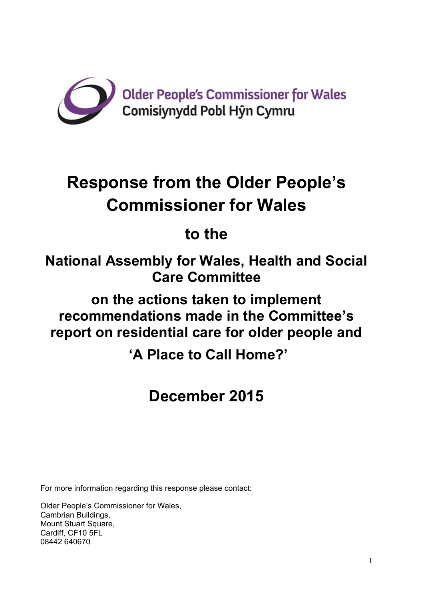

# **Response from the Older People's Commissioner for Wales**

# **to the**

**National Assembly for Wales, Health and Social Care Committee**

**on the actions taken to implement recommendations made in the Committee's report on residential care for older people and**

**'A Place to Call Home?'**

# **December 2015**

For more information regarding this response please contact:

Older People's Commissioner for Wales, Cambrian Buildings, Mount Stuart Square, Cardiff, CF10 5FL 08442 640670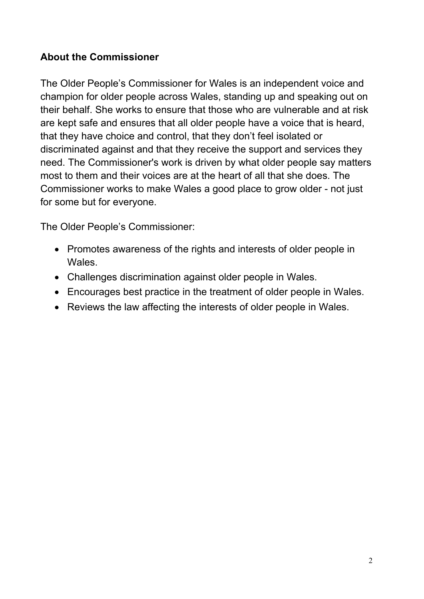# **About the Commissioner**

The Older People's Commissioner for Wales is an independent voice and champion for older people across Wales, standing up and speaking out on their behalf. She works to ensure that those who are vulnerable and at risk are kept safe and ensures that all older people have a voice that is heard, that they have choice and control, that they don't feel isolated or discriminated against and that they receive the support and services they need. The Commissioner's work is driven by what older people say matters most to them and their voices are at the heart of all that she does. The Commissioner works to make Wales a good place to grow older - not just for some but for everyone.

The Older People's Commissioner:

- Promotes awareness of the rights and interests of older people in Wales.
- Challenges discrimination against older people in Wales.
- Encourages best practice in the treatment of older people in Wales.
- Reviews the law affecting the interests of older people in Wales.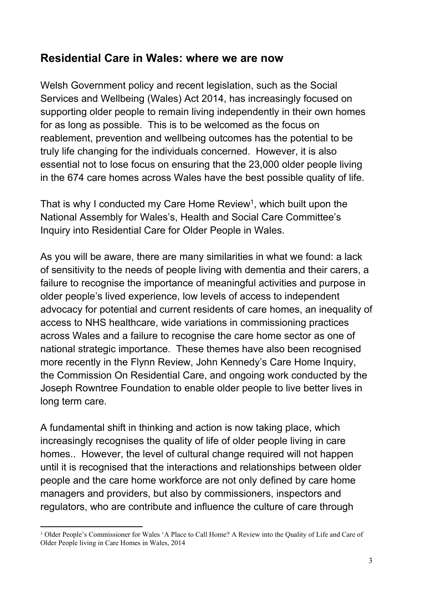# **Residential Care in Wales: where we are now**

Welsh Government policy and recent legislation, such as the Social Services and Wellbeing (Wales) Act 2014, has increasingly focused on supporting older people to remain living independently in their own homes for as long as possible. This is to be welcomed as the focus on reablement, prevention and wellbeing outcomes has the potential to be truly life changing for the individuals concerned. However, it is also essential not to lose focus on ensuring that the 23,000 older people living in the 674 care homes across Wales have the best possible quality of life.

That is why I conducted my Care Home Review<sup>1</sup>, which built upon the National Assembly for Wales's, Health and Social Care Committee's Inquiry into Residential Care for Older People in Wales.

As you will be aware, there are many similarities in what we found: a lack of sensitivity to the needs of people living with dementia and their carers, a failure to recognise the importance of meaningful activities and purpose in older people's lived experience, low levels of access to independent advocacy for potential and current residents of care homes, an inequality of access to NHS healthcare, wide variations in commissioning practices across Wales and a failure to recognise the care home sector as one of national strategic importance. These themes have also been recognised more recently in the Flynn Review, John Kennedy's Care Home Inquiry, the Commission On Residential Care, and ongoing work conducted by the Joseph Rowntree Foundation to enable older people to live better lives in long term care.

A fundamental shift in thinking and action is now taking place, which increasingly recognises the quality of life of older people living in care homes.. However, the level of cultural change required will not happen until it is recognised that the interactions and relationships between older people and the care home workforce are not only defined by care home managers and providers, but also by commissioners, inspectors and regulators, who are contribute and influence the culture of care through

<sup>1</sup> Older People's Commissioner for Wales 'A Place to Call Home? A Review into the Quality of Life and Care of Older People living in Care Homes in Wales, 2014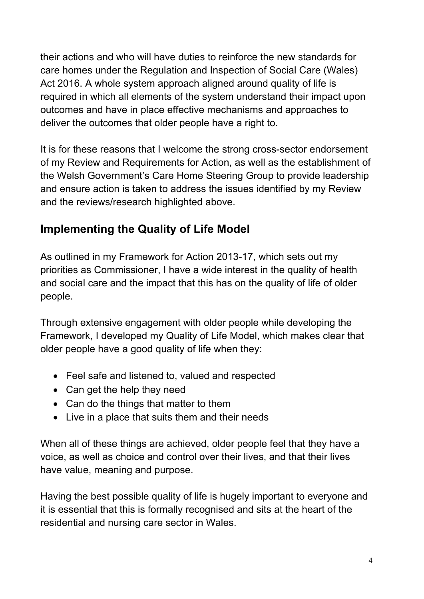their actions and who will have duties to reinforce the new standards for care homes under the Regulation and Inspection of Social Care (Wales) Act 2016. A whole system approach aligned around quality of life is required in which all elements of the system understand their impact upon outcomes and have in place effective mechanisms and approaches to deliver the outcomes that older people have a right to.

It is for these reasons that I welcome the strong cross-sector endorsement of my Review and Requirements for Action, as well as the establishment of the Welsh Government's Care Home Steering Group to provide leadership and ensure action is taken to address the issues identified by my Review and the reviews/research highlighted above.

# **Implementing the Quality of Life Model**

As outlined in my Framework for Action 2013-17, which sets out my priorities as Commissioner, I have a wide interest in the quality of health and social care and the impact that this has on the quality of life of older people.

Through extensive engagement with older people while developing the Framework, I developed my Quality of Life Model, which makes clear that older people have a good quality of life when they:

- Feel safe and listened to, valued and respected
- Can get the help they need
- Can do the things that matter to them
- Live in a place that suits them and their needs

When all of these things are achieved, older people feel that they have a voice, as well as choice and control over their lives, and that their lives have value, meaning and purpose.

Having the best possible quality of life is hugely important to everyone and it is essential that this is formally recognised and sits at the heart of the residential and nursing care sector in Wales.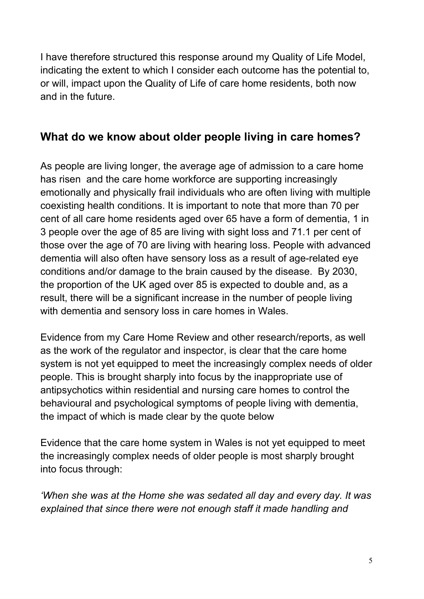I have therefore structured this response around my Quality of Life Model, indicating the extent to which I consider each outcome has the potential to, or will, impact upon the Quality of Life of care home residents, both now and in the future.

# **What do we know about older people living in care homes?**

As people are living longer, the average age of admission to a care home has risen and the care home workforce are supporting increasingly emotionally and physically frail individuals who are often living with multiple coexisting health conditions. It is important to note that more than 70 per cent of all care home residents aged over 65 have a form of dementia, 1 in 3 people over the age of 85 are living with sight loss and 71.1 per cent of those over the age of 70 are living with hearing loss. People with advanced dementia will also often have sensory loss as a result of age-related eye conditions and/or damage to the brain caused by the disease. By 2030, the proportion of the UK aged over 85 is expected to double and, as a result, there will be a significant increase in the number of people living with dementia and sensory loss in care homes in Wales.

Evidence from my Care Home Review and other research/reports, as well as the work of the regulator and inspector, is clear that the care home system is not yet equipped to meet the increasingly complex needs of older people. This is brought sharply into focus by the inappropriate use of antipsychotics within residential and nursing care homes to control the behavioural and psychological symptoms of people living with dementia, the impact of which is made clear by the quote below

Evidence that the care home system in Wales is not yet equipped to meet the increasingly complex needs of older people is most sharply brought into focus through:

*'When she was at the Home she was sedated all day and every day. It was explained that since there were not enough staff it made handling and*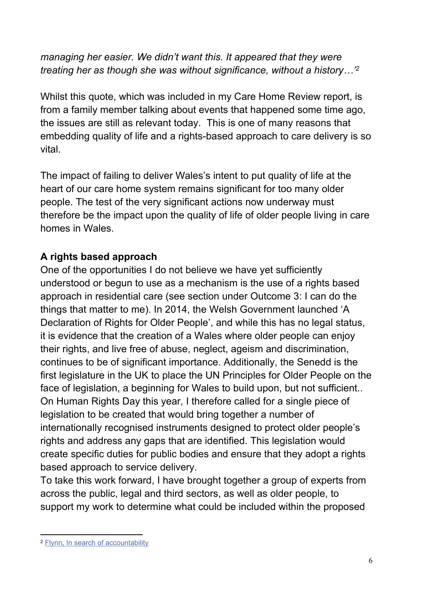*managing her easier. We didn't want this. It appeared that they were treating her as though she was without significance, without a history…'<sup>2</sup>*

Whilst this quote, which was included in my Care Home Review report, is from a family member talking about events that happened some time ago, the issues are still as relevant today. This is one of many reasons that embedding quality of life and a rights-based approach to care delivery is so vital.

The impact of failing to deliver Wales's intent to put quality of life at the heart of our care home system remains significant for too many older people. The test of the very significant actions now underway must therefore be the impact upon the quality of life of older people living in care homes in Wales.

# **A rights based approach**

One of the opportunities I do not believe we have yet sufficiently understood or begun to use as a mechanism is the use of a rights based approach in residential care (see section under Outcome 3: I can do the things that matter to me). In 2014, the Welsh Government launched 'A Declaration of Rights for Older People', and while this has no legal status, it is evidence that the creation of a Wales where older people can enjoy their rights, and live free of abuse, neglect, ageism and discrimination, continues to be of significant importance. Additionally, the Senedd is the first legislature in the UK to place the UN Principles for Older People on the face of legislation, a beginning for Wales to build upon, but not sufficient.. On Human Rights Day this year, I therefore called for a single piece of legislation to be created that would bring together a number of internationally recognised instruments designed to protect older people's rights and address any gaps that are identified. This legislation would create specific duties for public bodies and ensure that they adopt a rights based approach to service delivery.

To take this work forward, I have brought together a group of experts from across the public, legal and third sectors, as well as older people, to support my work to determine what could be included within the proposed

<sup>2</sup> Flynn, In search of [accountability](http://gov.wales/topics/health/publications/socialcare/reports/accountability/?lang=en)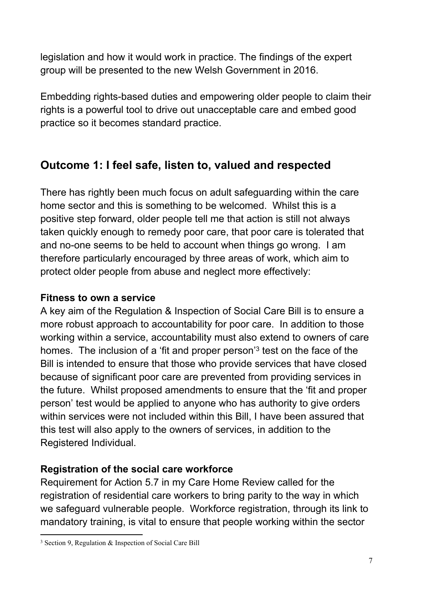legislation and how it would work in practice. The findings of the expert group will be presented to the new Welsh Government in 2016.

Embedding rights-based duties and empowering older people to claim their rights is a powerful tool to drive out unacceptable care and embed good practice so it becomes standard practice.

# **Outcome 1: I feel safe, listen to, valued and respected**

There has rightly been much focus on adult safeguarding within the care home sector and this is something to be welcomed. Whilst this is a positive step forward, older people tell me that action is still not always taken quickly enough to remedy poor care, that poor care is tolerated that and no-one seems to be held to account when things go wrong. I am therefore particularly encouraged by three areas of work, which aim to protect older people from abuse and neglect more effectively:

#### **Fitness to own a service**

A key aim of the Regulation & Inspection of Social Care Bill is to ensure a more robust approach to accountability for poor care. In addition to those working within a service, accountability must also extend to owners of care homes. The inclusion of a 'fit and proper person'<sup>3</sup> test on the face of the Bill is intended to ensure that those who provide services that have closed because of significant poor care are prevented from providing services in the future. Whilst proposed amendments to ensure that the 'fit and proper person' test would be applied to anyone who has authority to give orders within services were not included within this Bill. I have been assured that this test will also apply to the owners of services, in addition to the Registered Individual.

# **Registration of the social care workforce**

Requirement for Action 5.7 in my Care Home Review called for the registration of residential care workers to bring parity to the way in which we safeguard vulnerable people. Workforce registration, through its link to mandatory training, is vital to ensure that people working within the sector

<sup>3</sup> Section 9, Regulation & Inspection of Social Care Bill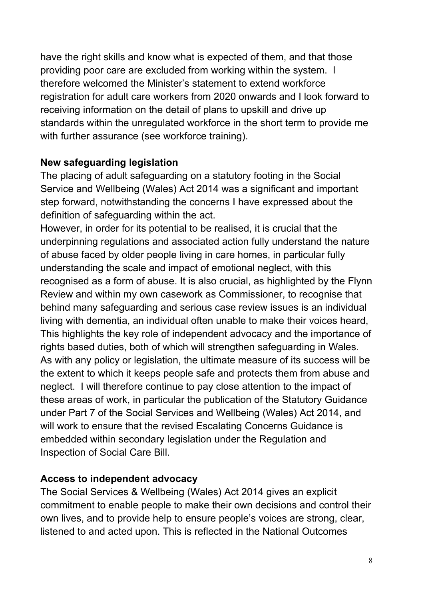have the right skills and know what is expected of them, and that those providing poor care are excluded from working within the system. I therefore welcomed the Minister's statement to extend workforce registration for adult care workers from 2020 onwards and I look forward to receiving information on the detail of plans to upskill and drive up standards within the unregulated workforce in the short term to provide me with further assurance (see workforce training).

#### **New safeguarding legislation**

The placing of adult safeguarding on a statutory footing in the Social Service and Wellbeing (Wales) Act 2014 was a significant and important step forward, notwithstanding the concerns I have expressed about the definition of safeguarding within the act.

However, in order for its potential to be realised, it is crucial that the underpinning regulations and associated action fully understand the nature of abuse faced by older people living in care homes, in particular fully understanding the scale and impact of emotional neglect, with this recognised as a form of abuse. It is also crucial, as highlighted by the Flynn Review and within my own casework as Commissioner, to recognise that behind many safeguarding and serious case review issues is an individual living with dementia, an individual often unable to make their voices heard, This highlights the key role of independent advocacy and the importance of rights based duties, both of which will strengthen safeguarding in Wales. As with any policy or legislation, the ultimate measure of its success will be the extent to which it keeps people safe and protects them from abuse and neglect. I will therefore continue to pay close attention to the impact of these areas of work, in particular the publication of the Statutory Guidance under Part 7 of the Social Services and Wellbeing (Wales) Act 2014, and will work to ensure that the revised Escalating Concerns Guidance is embedded within secondary legislation under the Regulation and Inspection of Social Care Bill.

#### **Access to independent advocacy**

The Social Services & Wellbeing (Wales) Act 2014 gives an explicit commitment to enable people to make their own decisions and control their own lives, and to provide help to ensure people's voices are strong, clear, listened to and acted upon. This is reflected in the National Outcomes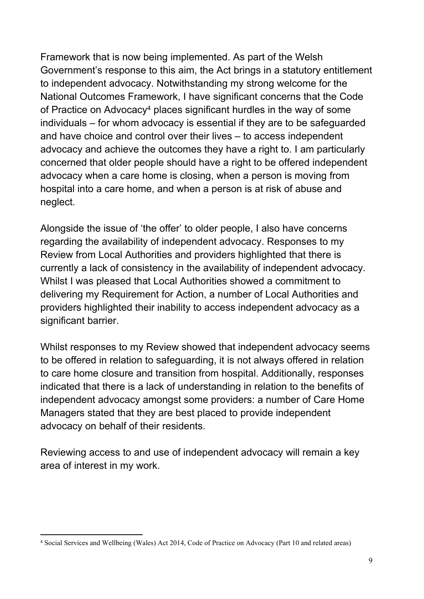Framework that is now being implemented. As part of the Welsh Government's response to this aim, the Act brings in a statutory entitlement to independent advocacy. Notwithstanding my strong welcome for the National Outcomes Framework, I have significant concerns that the Code of Practice on Advocacy<sup>4</sup> places significant hurdles in the way of some individuals – for whom advocacy is essential if they are to be safeguarded and have choice and control over their lives – to access independent advocacy and achieve the outcomes they have a right to. I am particularly concerned that older people should have a right to be offered independent advocacy when a care home is closing, when a person is moving from hospital into a care home, and when a person is at risk of abuse and neglect.

Alongside the issue of 'the offer' to older people, I also have concerns regarding the availability of independent advocacy. Responses to my Review from Local Authorities and providers highlighted that there is currently a lack of consistency in the availability of independent advocacy. Whilst I was pleased that Local Authorities showed a commitment to delivering my Requirement for Action, a number of Local Authorities and providers highlighted their inability to access independent advocacy as a significant barrier.

Whilst responses to my Review showed that independent advocacy seems to be offered in relation to safeguarding, it is not always offered in relation to care home closure and transition from hospital. Additionally, responses indicated that there is a lack of understanding in relation to the benefits of independent advocacy amongst some providers: a number of Care Home Managers stated that they are best placed to provide independent advocacy on behalf of their residents.

Reviewing access to and use of independent advocacy will remain a key area of interest in my work.

<sup>4</sup> Social Services and Wellbeing (Wales) Act 2014, Code of Practice on Advocacy (Part 10 and related areas)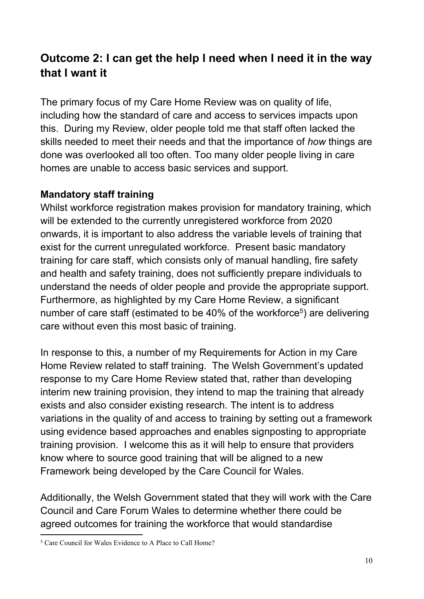# **Outcome 2: I can get the help I need when I need it in the way that I want it**

The primary focus of my Care Home Review was on quality of life, including how the standard of care and access to services impacts upon this. During my Review, older people told me that staff often lacked the skills needed to meet their needs and that the importance of *how* things are done was overlooked all too often. Too many older people living in care homes are unable to access basic services and support.

# **Mandatory staff training**

Whilst workforce registration makes provision for mandatory training, which will be extended to the currently unregistered workforce from 2020 onwards, it is important to also address the variable levels of training that exist for the current unregulated workforce. Present basic mandatory training for care staff, which consists only of manual handling, fire safety and health and safety training, does not sufficiently prepare individuals to understand the needs of older people and provide the appropriate support. Furthermore, as highlighted by my Care Home Review, a significant number of care staff (estimated to be 40% of the workforce<sup>5</sup>) are delivering care without even this most basic of training.

In response to this, a number of my Requirements for Action in my Care Home Review related to staff training. The Welsh Government's updated response to my Care Home Review stated that, rather than developing interim new training provision, they intend to map the training that already exists and also consider existing research. The intent is to address variations in the quality of and access to training by setting out a framework using evidence based approaches and enables signposting to appropriate training provision. I welcome this as it will help to ensure that providers know where to source good training that will be aligned to a new Framework being developed by the Care Council for Wales.

Additionally, the Welsh Government stated that they will work with the Care Council and Care Forum Wales to determine whether there could be agreed outcomes for training the workforce that would standardise

<sup>5</sup> Care Council for Wales Evidence to A Place to Call Home?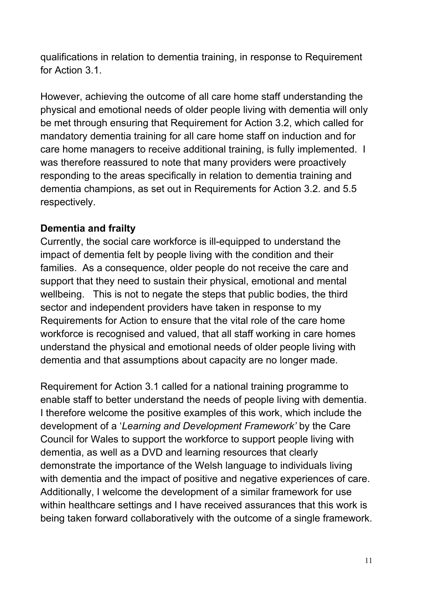qualifications in relation to dementia training, in response to Requirement for Action 3.1.

However, achieving the outcome of all care home staff understanding the physical and emotional needs of older people living with dementia will only be met through ensuring that Requirement for Action 3.2, which called for mandatory dementia training for all care home staff on induction and for care home managers to receive additional training, is fully implemented. I was therefore reassured to note that many providers were proactively responding to the areas specifically in relation to dementia training and dementia champions, as set out in Requirements for Action 3.2. and 5.5 respectively.

#### **Dementia and frailty**

Currently, the social care workforce is ill-equipped to understand the impact of dementia felt by people living with the condition and their families. As a consequence, older people do not receive the care and support that they need to sustain their physical, emotional and mental wellbeing. This is not to negate the steps that public bodies, the third sector and independent providers have taken in response to my Requirements for Action to ensure that the vital role of the care home workforce is recognised and valued, that all staff working in care homes understand the physical and emotional needs of older people living with dementia and that assumptions about capacity are no longer made.

Requirement for Action 3.1 called for a national training programme to enable staff to better understand the needs of people living with dementia. I therefore welcome the positive examples of this work, which include the development of a '*Learning and Development Framework'* by the Care Council for Wales to support the workforce to support people living with dementia, as well as a DVD and learning resources that clearly demonstrate the importance of the Welsh language to individuals living with dementia and the impact of positive and negative experiences of care. Additionally, I welcome the development of a similar framework for use within healthcare settings and I have received assurances that this work is being taken forward collaboratively with the outcome of a single framework.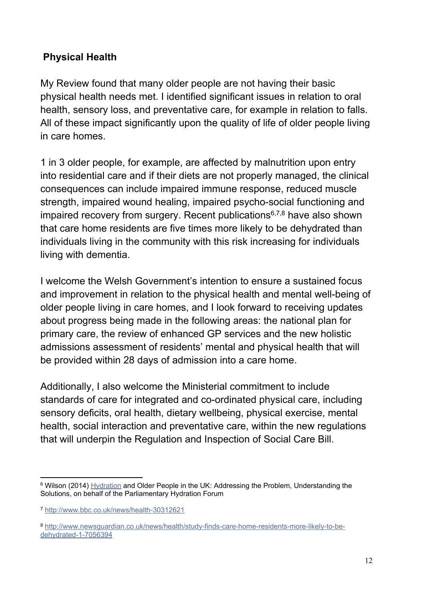# **Physical Health**

My Review found that many older people are not having their basic physical health needs met. I identified significant issues in relation to oral health, sensory loss, and preventative care, for example in relation to falls. All of these impact significantly upon the quality of life of older people living in care homes.

1 in 3 older people, for example, are affected by malnutrition upon entry into residential care and if their diets are not properly managed, the clinical consequences can include impaired immune response, reduced muscle strength, impaired wound healing, impaired psycho-social functioning and impaired recovery from surgery. Recent publications6,7,8 have also shown that care home residents are five times more likely to be dehydrated than individuals living in the community with this risk increasing for individuals living with dementia.

I welcome the Welsh Government's intention to ensure a sustained focus and improvement in relation to the physical health and mental well-being of older people living in care homes, and I look forward to receiving updates about progress being made in the following areas: the national plan for primary care, the review of enhanced GP services and the new holistic admissions assessment of residents' mental and physical health that will be provided within 28 days of admission into a care home.

Additionally, I also welcome the Ministerial commitment to include standards of care for integrated and co-ordinated physical care, including sensory deficits, oral health, dietary wellbeing, physical exercise, mental health, social interaction and preventative care, within the new regulations that will underpin the Regulation and Inspection of Social Care Bill.

<sup>&</sup>lt;sup>6</sup> Wilson (2014) **[Hydration](http://www.scie.org.uk/publications/guides/guide15/files/hydration-and-older-people-in-the-uk.pdf) and Older People in the UK: Addressing the Problem, Understanding the** Solutions, on behalf of the Parliamentary Hydration Forum

<sup>7</sup> <http://www.bbc.co.uk/news/health-30312621>

<sup>8</sup> [http://www.newsguardian.co.uk/news/health/study-finds-care-home-residents-more-likely-to-be](http://www.newsguardian.co.uk/news/health/study-finds-care-home-residents-more-likely-to-be-dehydrated-1-7056394)[dehydrated-1-7056394](http://www.newsguardian.co.uk/news/health/study-finds-care-home-residents-more-likely-to-be-dehydrated-1-7056394)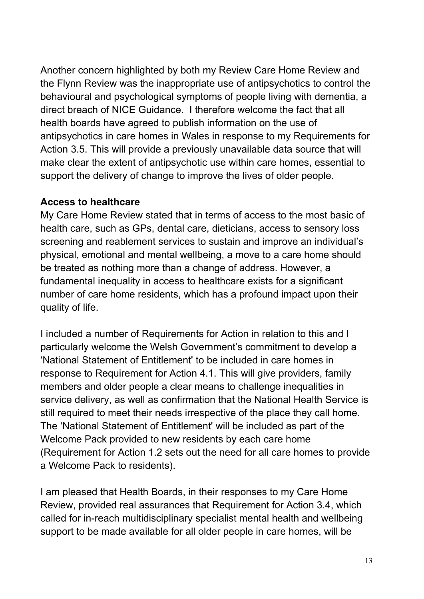Another concern highlighted by both my Review Care Home Review and the Flynn Review was the inappropriate use of antipsychotics to control the behavioural and psychological symptoms of people living with dementia, a direct breach of NICE Guidance. I therefore welcome the fact that all health boards have agreed to publish information on the use of antipsychotics in care homes in Wales in response to my Requirements for Action 3.5. This will provide a previously unavailable data source that will make clear the extent of antipsychotic use within care homes, essential to support the delivery of change to improve the lives of older people.

#### **Access to healthcare**

My Care Home Review stated that in terms of access to the most basic of health care, such as GPs, dental care, dieticians, access to sensory loss screening and reablement services to sustain and improve an individual's physical, emotional and mental wellbeing, a move to a care home should be treated as nothing more than a change of address. However, a fundamental inequality in access to healthcare exists for a significant number of care home residents, which has a profound impact upon their quality of life.

I included a number of Requirements for Action in relation to this and I particularly welcome the Welsh Government's commitment to develop a 'National Statement of Entitlement' to be included in care homes in response to Requirement for Action 4.1. This will give providers, family members and older people a clear means to challenge inequalities in service delivery, as well as confirmation that the National Health Service is still required to meet their needs irrespective of the place they call home. The 'National Statement of Entitlement' will be included as part of the Welcome Pack provided to new residents by each care home (Requirement for Action 1.2 sets out the need for all care homes to provide a Welcome Pack to residents).

I am pleased that Health Boards, in their responses to my Care Home Review, provided real assurances that Requirement for Action 3.4, which called for in-reach multidisciplinary specialist mental health and wellbeing support to be made available for all older people in care homes, will be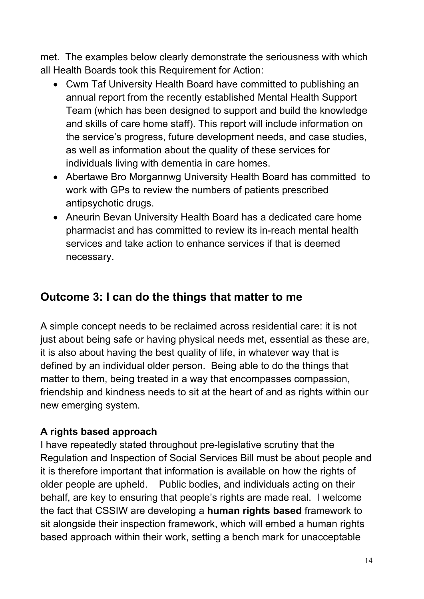met. The examples below clearly demonstrate the seriousness with which all Health Boards took this Requirement for Action:

- Cwm Taf University Health Board have committed to publishing an annual report from the recently established Mental Health Support Team (which has been designed to support and build the knowledge and skills of care home staff). This report will include information on the service's progress, future development needs, and case studies, as well as information about the quality of these services for individuals living with dementia in care homes.
- Abertawe Bro Morgannwg University Health Board has committed to work with GPs to review the numbers of patients prescribed antipsychotic drugs.
- Aneurin Bevan University Health Board has a dedicated care home pharmacist and has committed to review its in-reach mental health services and take action to enhance services if that is deemed necessary.

# **Outcome 3: I can do the things that matter to me**

A simple concept needs to be reclaimed across residential care: it is not just about being safe or having physical needs met, essential as these are, it is also about having the best quality of life, in whatever way that is defined by an individual older person. Being able to do the things that matter to them, being treated in a way that encompasses compassion, friendship and kindness needs to sit at the heart of and as rights within our new emerging system.

# **A rights based approach**

I have repeatedly stated throughout pre-legislative scrutiny that the Regulation and Inspection of Social Services Bill must be about people and it is therefore important that information is available on how the rights of older people are upheld. Public bodies, and individuals acting on their behalf, are key to ensuring that people's rights are made real. I welcome the fact that CSSIW are developing a **human rights based** framework to sit alongside their inspection framework, which will embed a human rights based approach within their work, setting a bench mark for unacceptable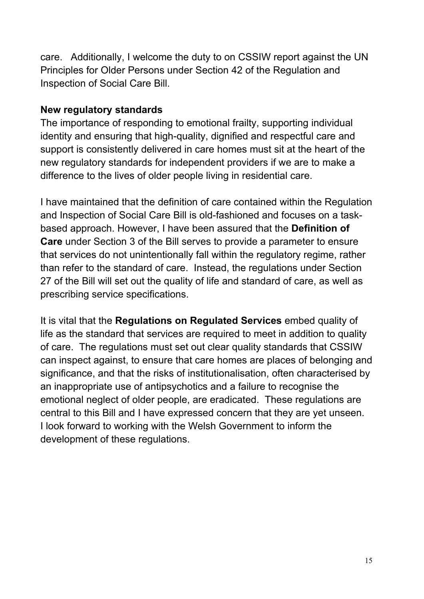care. Additionally, I welcome the duty to on CSSIW report against the UN Principles for Older Persons under Section 42 of the Regulation and Inspection of Social Care Bill.

#### **New regulatory standards**

The importance of responding to emotional frailty, supporting individual identity and ensuring that high-quality, dignified and respectful care and support is consistently delivered in care homes must sit at the heart of the new regulatory standards for independent providers if we are to make a difference to the lives of older people living in residential care.

I have maintained that the definition of care contained within the Regulation and Inspection of Social Care Bill is old-fashioned and focuses on a taskbased approach. However, I have been assured that the **Definition of Care** under Section 3 of the Bill serves to provide a parameter to ensure that services do not unintentionally fall within the regulatory regime, rather than refer to the standard of care. Instead, the regulations under Section 27 of the Bill will set out the quality of life and standard of care, as well as prescribing service specifications.

It is vital that the **Regulations on Regulated Services** embed quality of life as the standard that services are required to meet in addition to quality of care. The regulations must set out clear quality standards that CSSIW can inspect against, to ensure that care homes are places of belonging and significance, and that the risks of institutionalisation, often characterised by an inappropriate use of antipsychotics and a failure to recognise the emotional neglect of older people, are eradicated. These regulations are central to this Bill and I have expressed concern that they are yet unseen. I look forward to working with the Welsh Government to inform the development of these regulations.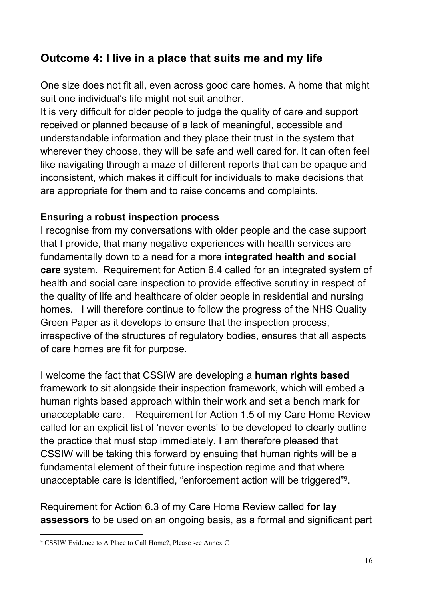# **Outcome 4: I live in a place that suits me and my life**

One size does not fit all, even across good care homes. A home that might suit one individual's life might not suit another.

It is very difficult for older people to judge the quality of care and support received or planned because of a lack of meaningful, accessible and understandable information and they place their trust in the system that wherever they choose, they will be safe and well cared for. It can often feel like navigating through a maze of different reports that can be opaque and inconsistent, which makes it difficult for individuals to make decisions that are appropriate for them and to raise concerns and complaints.

#### **Ensuring a robust inspection process**

I recognise from my conversations with older people and the case support that I provide, that many negative experiences with health services are fundamentally down to a need for a more **integrated health and social care** system. Requirement for Action 6.4 called for an integrated system of health and social care inspection to provide effective scrutiny in respect of the quality of life and healthcare of older people in residential and nursing homes. I will therefore continue to follow the progress of the NHS Quality Green Paper as it develops to ensure that the inspection process, irrespective of the structures of regulatory bodies, ensures that all aspects of care homes are fit for purpose.

I welcome the fact that CSSIW are developing a **human rights based** framework to sit alongside their inspection framework, which will embed a human rights based approach within their work and set a bench mark for unacceptable care. Requirement for Action 1.5 of my Care Home Review called for an explicit list of 'never events' to be developed to clearly outline the practice that must stop immediately. I am therefore pleased that CSSIW will be taking this forward by ensuing that human rights will be a fundamental element of their future inspection regime and that where unacceptable care is identified, "enforcement action will be triggered"<sup>9</sup>.

Requirement for Action 6.3 of my Care Home Review called **for lay assessors** to be used on an ongoing basis, as a formal and significant part

<sup>9</sup> CSSIW Evidence to A Place to Call Home?, Please see Annex C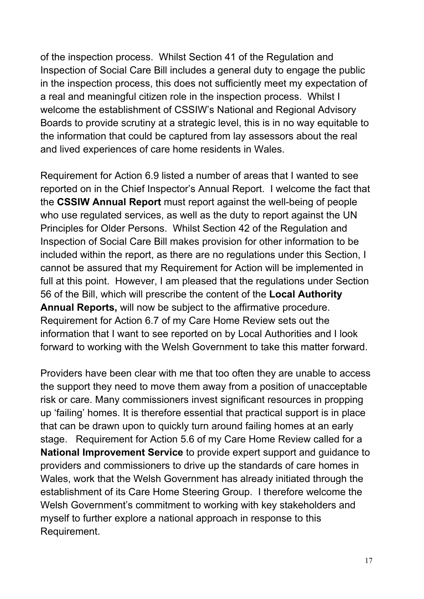of the inspection process. Whilst Section 41 of the Regulation and Inspection of Social Care Bill includes a general duty to engage the public in the inspection process, this does not sufficiently meet my expectation of a real and meaningful citizen role in the inspection process. Whilst I welcome the establishment of CSSIW's National and Regional Advisory Boards to provide scrutiny at a strategic level, this is in no way equitable to the information that could be captured from lay assessors about the real and lived experiences of care home residents in Wales.

Requirement for Action 6.9 listed a number of areas that I wanted to see reported on in the Chief Inspector's Annual Report. I welcome the fact that the **CSSIW Annual Report** must report against the well-being of people who use regulated services, as well as the duty to report against the UN Principles for Older Persons. Whilst Section 42 of the Regulation and Inspection of Social Care Bill makes provision for other information to be included within the report, as there are no regulations under this Section, I cannot be assured that my Requirement for Action will be implemented in full at this point. However, I am pleased that the regulations under Section 56 of the Bill, which will prescribe the content of the **Local Authority Annual Reports,** will now be subject to the affirmative procedure. Requirement for Action 6.7 of my Care Home Review sets out the information that I want to see reported on by Local Authorities and I look forward to working with the Welsh Government to take this matter forward.

Providers have been clear with me that too often they are unable to access the support they need to move them away from a position of unacceptable risk or care. Many commissioners invest significant resources in propping up 'failing' homes. It is therefore essential that practical support is in place that can be drawn upon to quickly turn around failing homes at an early stage. Requirement for Action 5.6 of my Care Home Review called for a **National Improvement Service** to provide expert support and guidance to providers and commissioners to drive up the standards of care homes in Wales, work that the Welsh Government has already initiated through the establishment of its Care Home Steering Group. I therefore welcome the Welsh Government's commitment to working with key stakeholders and myself to further explore a national approach in response to this Requirement.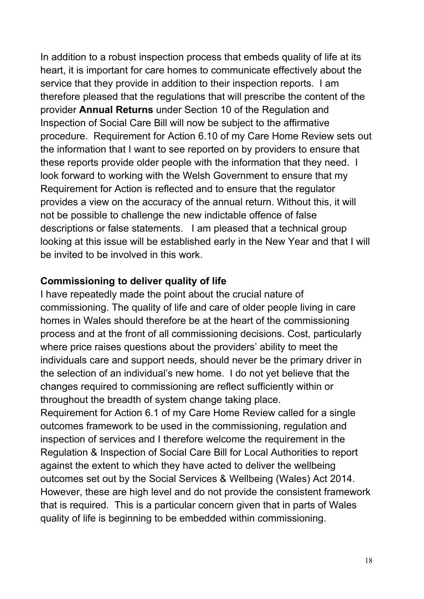In addition to a robust inspection process that embeds quality of life at its heart, it is important for care homes to communicate effectively about the service that they provide in addition to their inspection reports. I am therefore pleased that the regulations that will prescribe the content of the provider **Annual Returns** under Section 10 of the Regulation and Inspection of Social Care Bill will now be subject to the affirmative procedure. Requirement for Action 6.10 of my Care Home Review sets out the information that I want to see reported on by providers to ensure that these reports provide older people with the information that they need. I look forward to working with the Welsh Government to ensure that my Requirement for Action is reflected and to ensure that the regulator provides a view on the accuracy of the annual return. Without this, it will not be possible to challenge the new indictable offence of false descriptions or false statements. I am pleased that a technical group looking at this issue will be established early in the New Year and that I will be invited to be involved in this work.

#### **Commissioning to deliver quality of life**

I have repeatedly made the point about the crucial nature of commissioning. The quality of life and care of older people living in care homes in Wales should therefore be at the heart of the commissioning process and at the front of all commissioning decisions. Cost, particularly where price raises questions about the providers' ability to meet the individuals care and support needs, should never be the primary driver in the selection of an individual's new home. I do not yet believe that the changes required to commissioning are reflect sufficiently within or throughout the breadth of system change taking place.

Requirement for Action 6.1 of my Care Home Review called for a single outcomes framework to be used in the commissioning, regulation and inspection of services and I therefore welcome the requirement in the Regulation & Inspection of Social Care Bill for Local Authorities to report against the extent to which they have acted to deliver the wellbeing outcomes set out by the Social Services & Wellbeing (Wales) Act 2014. However, these are high level and do not provide the consistent framework that is required. This is a particular concern given that in parts of Wales quality of life is beginning to be embedded within commissioning.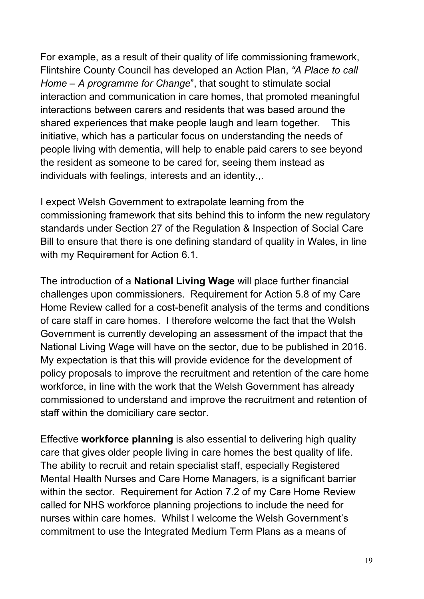For example, as a result of their quality of life commissioning framework, Flintshire County Council has developed an Action Plan, *"A Place to call Home – A programme for Change*", that sought to stimulate social interaction and communication in care homes, that promoted meaningful interactions between carers and residents that was based around the shared experiences that make people laugh and learn together. This initiative, which has a particular focus on understanding the needs of people living with dementia, will help to enable paid carers to see beyond the resident as someone to be cared for, seeing them instead as individuals with feelings, interests and an identity.,.

I expect Welsh Government to extrapolate learning from the commissioning framework that sits behind this to inform the new regulatory standards under Section 27 of the Regulation & Inspection of Social Care Bill to ensure that there is one defining standard of quality in Wales, in line with my Requirement for Action 6.1.

The introduction of a **National Living Wage** will place further financial challenges upon commissioners. Requirement for Action 5.8 of my Care Home Review called for a cost-benefit analysis of the terms and conditions of care staff in care homes. I therefore welcome the fact that the Welsh Government is currently developing an assessment of the impact that the National Living Wage will have on the sector, due to be published in 2016. My expectation is that this will provide evidence for the development of policy proposals to improve the recruitment and retention of the care home workforce, in line with the work that the Welsh Government has already commissioned to understand and improve the recruitment and retention of staff within the domiciliary care sector.

Effective **workforce planning** is also essential to delivering high quality care that gives older people living in care homes the best quality of life. The ability to recruit and retain specialist staff, especially Registered Mental Health Nurses and Care Home Managers, is a significant barrier within the sector. Requirement for Action 7.2 of my Care Home Review called for NHS workforce planning projections to include the need for nurses within care homes. Whilst I welcome the Welsh Government's commitment to use the Integrated Medium Term Plans as a means of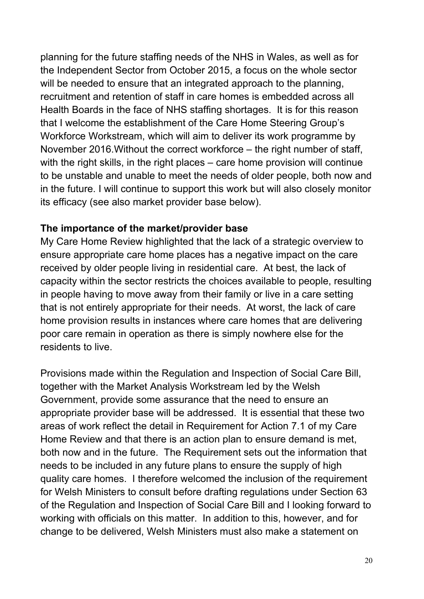planning for the future staffing needs of the NHS in Wales, as well as for the Independent Sector from October 2015, a focus on the whole sector will be needed to ensure that an integrated approach to the planning. recruitment and retention of staff in care homes is embedded across all Health Boards in the face of NHS staffing shortages. It is for this reason that I welcome the establishment of the Care Home Steering Group's Workforce Workstream, which will aim to deliver its work programme by November 2016.Without the correct workforce – the right number of staff, with the right skills, in the right places – care home provision will continue to be unstable and unable to meet the needs of older people, both now and in the future. I will continue to support this work but will also closely monitor its efficacy (see also market provider base below).

#### **The importance of the market/provider base**

My Care Home Review highlighted that the lack of a strategic overview to ensure appropriate care home places has a negative impact on the care received by older people living in residential care. At best, the lack of capacity within the sector restricts the choices available to people, resulting in people having to move away from their family or live in a care setting that is not entirely appropriate for their needs. At worst, the lack of care home provision results in instances where care homes that are delivering poor care remain in operation as there is simply nowhere else for the residents to live.

Provisions made within the Regulation and Inspection of Social Care Bill, together with the Market Analysis Workstream led by the Welsh Government, provide some assurance that the need to ensure an appropriate provider base will be addressed. It is essential that these two areas of work reflect the detail in Requirement for Action 7.1 of my Care Home Review and that there is an action plan to ensure demand is met, both now and in the future. The Requirement sets out the information that needs to be included in any future plans to ensure the supply of high quality care homes. I therefore welcomed the inclusion of the requirement for Welsh Ministers to consult before drafting regulations under Section 63 of the Regulation and Inspection of Social Care Bill and I looking forward to working with officials on this matter. In addition to this, however, and for change to be delivered, Welsh Ministers must also make a statement on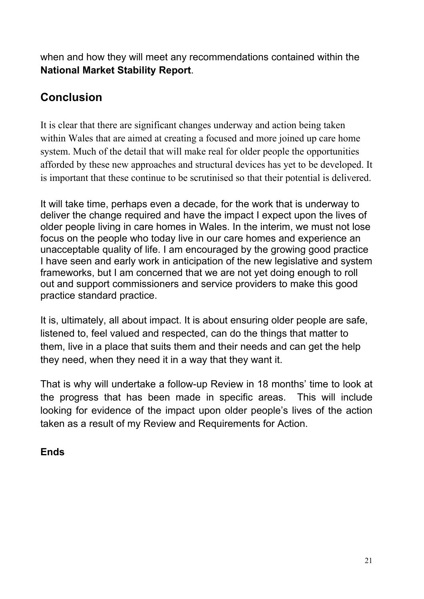when and how they will meet any recommendations contained within the **National Market Stability Report**.

# **Conclusion**

It is clear that there are significant changes underway and action being taken within Wales that are aimed at creating a focused and more joined up care home system. Much of the detail that will make real for older people the opportunities afforded by these new approaches and structural devices has yet to be developed. It is important that these continue to be scrutinised so that their potential is delivered.

It will take time, perhaps even a decade, for the work that is underway to deliver the change required and have the impact I expect upon the lives of older people living in care homes in Wales. In the interim, we must not lose focus on the people who today live in our care homes and experience an unacceptable quality of life. I am encouraged by the growing good practice I have seen and early work in anticipation of the new legislative and system frameworks, but I am concerned that we are not yet doing enough to roll out and support commissioners and service providers to make this good practice standard practice.

It is, ultimately, all about impact. It is about ensuring older people are safe, listened to, feel valued and respected, can do the things that matter to them, live in a place that suits them and their needs and can get the help they need, when they need it in a way that they want it.

That is why will undertake a follow-up Review in 18 months' time to look at the progress that has been made in specific areas. This will include looking for evidence of the impact upon older people's lives of the action taken as a result of my Review and Requirements for Action.

# **Ends**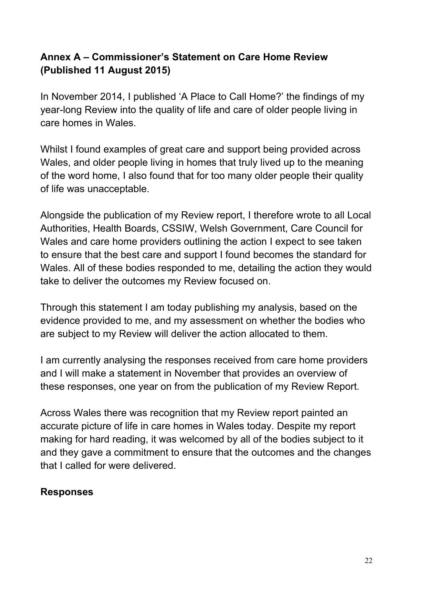# **Annex A – Commissioner's Statement on Care Home Review (Published 11 August 2015)**

In November 2014, I published 'A Place to Call Home?' the findings of my year-long Review into the quality of life and care of older people living in care homes in Wales.

Whilst I found examples of great care and support being provided across Wales, and older people living in homes that truly lived up to the meaning of the word home, I also found that for too many older people their quality of life was unacceptable.

Alongside the publication of my Review report, I therefore wrote to all Local Authorities, Health Boards, CSSIW, Welsh Government, Care Council for Wales and care home providers outlining the action I expect to see taken to ensure that the best care and support I found becomes the standard for Wales. All of these bodies responded to me, detailing the action they would take to deliver the outcomes my Review focused on.

Through this statement I am today publishing my analysis, based on the evidence provided to me, and my assessment on whether the bodies who are subject to my Review will deliver the action allocated to them.

I am currently analysing the responses received from care home providers and I will make a statement in November that provides an overview of these responses, one year on from the publication of my Review Report.

Across Wales there was recognition that my Review report painted an accurate picture of life in care homes in Wales today. Despite my report making for hard reading, it was welcomed by all of the bodies subject to it and they gave a commitment to ensure that the outcomes and the changes that I called for were delivered.

#### **Responses**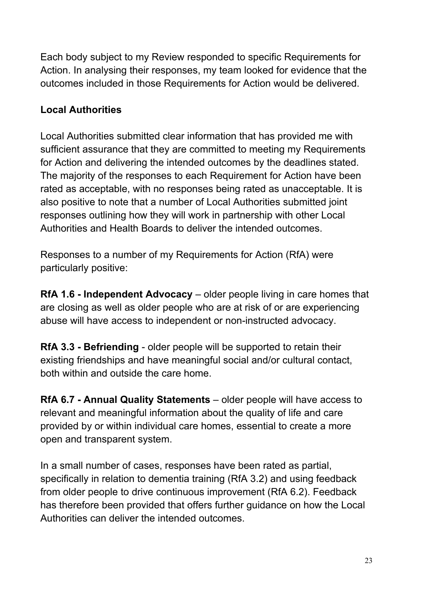Each body subject to my Review responded to specific Requirements for Action. In analysing their responses, my team looked for evidence that the outcomes included in those Requirements for Action would be delivered.

# **Local Authorities**

Local Authorities submitted clear information that has provided me with sufficient assurance that they are committed to meeting my Requirements for Action and delivering the intended outcomes by the deadlines stated. The majority of the responses to each Requirement for Action have been rated as acceptable, with no responses being rated as unacceptable. It is also positive to note that a number of Local Authorities submitted joint responses outlining how they will work in partnership with other Local Authorities and Health Boards to deliver the intended outcomes.

Responses to a number of my Requirements for Action (RfA) were particularly positive:

**RfA 1.6 - Independent Advocacy** – older people living in care homes that are closing as well as older people who are at risk of or are experiencing abuse will have access to independent or non-instructed advocacy.

**RfA 3.3 - Befriending** - older people will be supported to retain their existing friendships and have meaningful social and/or cultural contact, both within and outside the care home.

**RfA 6.7 - Annual Quality Statements** – older people will have access to relevant and meaningful information about the quality of life and care provided by or within individual care homes, essential to create a more open and transparent system.

In a small number of cases, responses have been rated as partial, specifically in relation to dementia training (RfA 3.2) and using feedback from older people to drive continuous improvement (RfA 6.2). Feedback has therefore been provided that offers further guidance on how the Local Authorities can deliver the intended outcomes.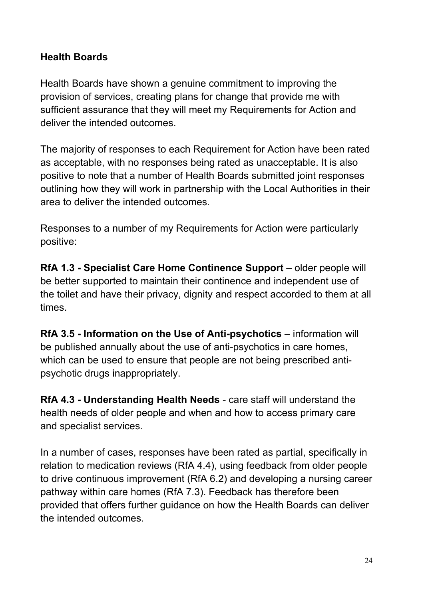#### **Health Boards**

Health Boards have shown a genuine commitment to improving the provision of services, creating plans for change that provide me with sufficient assurance that they will meet my Requirements for Action and deliver the intended outcomes.

The majority of responses to each Requirement for Action have been rated as acceptable, with no responses being rated as unacceptable. It is also positive to note that a number of Health Boards submitted joint responses outlining how they will work in partnership with the Local Authorities in their area to deliver the intended outcomes.

Responses to a number of my Requirements for Action were particularly positive:

**RfA 1.3 - Specialist Care Home Continence Support** – older people will be better supported to maintain their continence and independent use of the toilet and have their privacy, dignity and respect accorded to them at all times.

**RfA 3.5 - Information on the Use of Anti-psychotics** – information will be published annually about the use of anti-psychotics in care homes, which can be used to ensure that people are not being prescribed antipsychotic drugs inappropriately.

**RfA 4.3 - Understanding Health Needs** - care staff will understand the health needs of older people and when and how to access primary care and specialist services.

In a number of cases, responses have been rated as partial, specifically in relation to medication reviews (RfA 4.4), using feedback from older people to drive continuous improvement (RfA 6.2) and developing a nursing career pathway within care homes (RfA 7.3). Feedback has therefore been provided that offers further guidance on how the Health Boards can deliver the intended outcomes.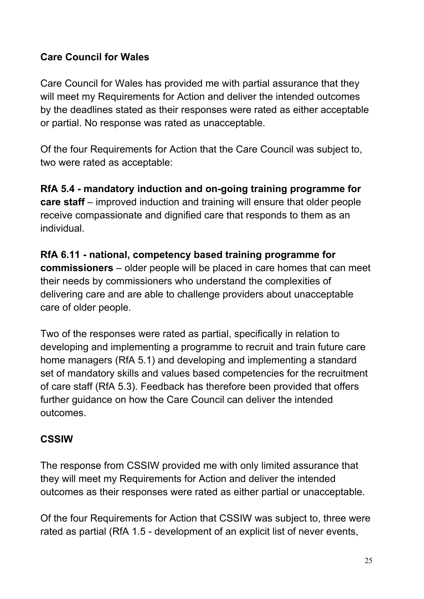# **Care Council for Wales**

Care Council for Wales has provided me with partial assurance that they will meet my Requirements for Action and deliver the intended outcomes by the deadlines stated as their responses were rated as either acceptable or partial. No response was rated as unacceptable.

Of the four Requirements for Action that the Care Council was subject to, two were rated as acceptable:

**RfA 5.4 - mandatory induction and on-going training programme for care staff** – improved induction and training will ensure that older people receive compassionate and dignified care that responds to them as an individual.

**RfA 6.11 - national, competency based training programme for commissioners** – older people will be placed in care homes that can meet their needs by commissioners who understand the complexities of delivering care and are able to challenge providers about unacceptable care of older people.

Two of the responses were rated as partial, specifically in relation to developing and implementing a programme to recruit and train future care home managers (RfA 5.1) and developing and implementing a standard set of mandatory skills and values based competencies for the recruitment of care staff (RfA 5.3). Feedback has therefore been provided that offers further guidance on how the Care Council can deliver the intended outcomes.

#### **CSSIW**

The response from CSSIW provided me with only limited assurance that they will meet my Requirements for Action and deliver the intended outcomes as their responses were rated as either partial or unacceptable.

Of the four Requirements for Action that CSSIW was subject to, three were rated as partial (RfA 1.5 - development of an explicit list of never events,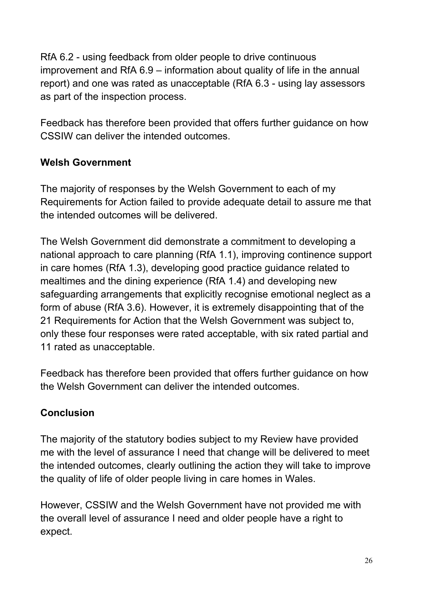RfA 6.2 - using feedback from older people to drive continuous improvement and RfA 6.9 – information about quality of life in the annual report) and one was rated as unacceptable (RfA 6.3 - using lay assessors as part of the inspection process.

Feedback has therefore been provided that offers further guidance on how CSSIW can deliver the intended outcomes.

# **Welsh Government**

The majority of responses by the Welsh Government to each of my Requirements for Action failed to provide adequate detail to assure me that the intended outcomes will be delivered.

The Welsh Government did demonstrate a commitment to developing a national approach to care planning (RfA 1.1), improving continence support in care homes (RfA 1.3), developing good practice guidance related to mealtimes and the dining experience (RfA 1.4) and developing new safeguarding arrangements that explicitly recognise emotional neglect as a form of abuse (RfA 3.6). However, it is extremely disappointing that of the 21 Requirements for Action that the Welsh Government was subject to, only these four responses were rated acceptable, with six rated partial and 11 rated as unacceptable.

Feedback has therefore been provided that offers further guidance on how the Welsh Government can deliver the intended outcomes.

# **Conclusion**

The majority of the statutory bodies subject to my Review have provided me with the level of assurance I need that change will be delivered to meet the intended outcomes, clearly outlining the action they will take to improve the quality of life of older people living in care homes in Wales.

However, CSSIW and the Welsh Government have not provided me with the overall level of assurance I need and older people have a right to expect.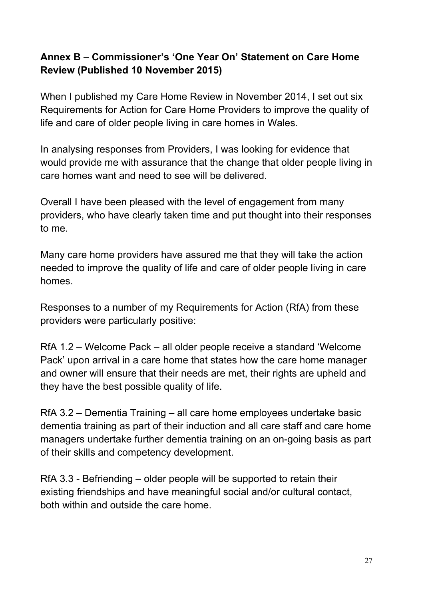# **Annex B – Commissioner's 'One Year On' Statement on Care Home Review (Published 10 November 2015)**

When I published my Care Home Review in November 2014, I set out six Requirements for Action for Care Home Providers to improve the quality of life and care of older people living in care homes in Wales.

In analysing responses from Providers, I was looking for evidence that would provide me with assurance that the change that older people living in care homes want and need to see will be delivered.

Overall I have been pleased with the level of engagement from many providers, who have clearly taken time and put thought into their responses to me.

Many care home providers have assured me that they will take the action needed to improve the quality of life and care of older people living in care homes.

Responses to a number of my Requirements for Action (RfA) from these providers were particularly positive:

RfA 1.2 – Welcome Pack – all older people receive a standard 'Welcome Pack' upon arrival in a care home that states how the care home manager and owner will ensure that their needs are met, their rights are upheld and they have the best possible quality of life.

RfA 3.2 – Dementia Training – all care home employees undertake basic dementia training as part of their induction and all care staff and care home managers undertake further dementia training on an on-going basis as part of their skills and competency development.

RfA 3.3 - Befriending – older people will be supported to retain their existing friendships and have meaningful social and/or cultural contact, both within and outside the care home.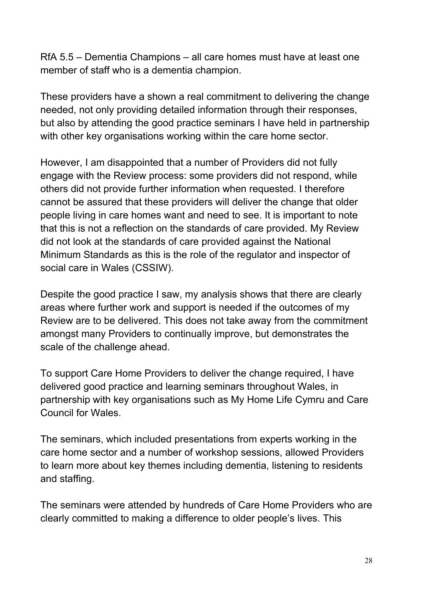RfA 5.5 – Dementia Champions – all care homes must have at least one member of staff who is a dementia champion.

These providers have a shown a real commitment to delivering the change needed, not only providing detailed information through their responses, but also by attending the good practice seminars I have held in partnership with other key organisations working within the care home sector.

However, I am disappointed that a number of Providers did not fully engage with the Review process: some providers did not respond, while others did not provide further information when requested. I therefore cannot be assured that these providers will deliver the change that older people living in care homes want and need to see. It is important to note that this is not a reflection on the standards of care provided. My Review did not look at the standards of care provided against the National Minimum Standards as this is the role of the regulator and inspector of social care in Wales (CSSIW).

Despite the good practice I saw, my analysis shows that there are clearly areas where further work and support is needed if the outcomes of my Review are to be delivered. This does not take away from the commitment amongst many Providers to continually improve, but demonstrates the scale of the challenge ahead.

To support Care Home Providers to deliver the change required, I have delivered good practice and learning seminars throughout Wales, in partnership with key organisations such as My Home Life Cymru and Care Council for Wales.

The seminars, which included presentations from experts working in the care home sector and a number of workshop sessions, allowed Providers to learn more about key themes including dementia, listening to residents and staffing.

The seminars were attended by hundreds of Care Home Providers who are clearly committed to making a difference to older people's lives. This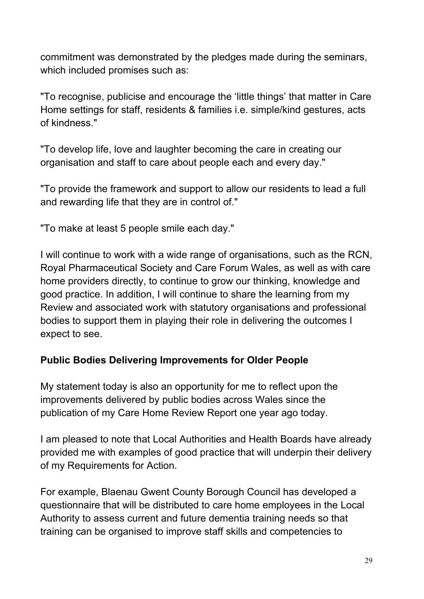commitment was demonstrated by the pledges made during the seminars, which included promises such as:

"To recognise, publicise and encourage the 'little things' that matter in Care Home settings for staff, residents & families i.e. simple/kind gestures, acts of kindness."

"To develop life, love and laughter becoming the care in creating our organisation and staff to care about people each and every day."

"To provide the framework and support to allow our residents to lead a full and rewarding life that they are in control of."

"To make at least 5 people smile each day."

I will continue to work with a wide range of organisations, such as the RCN, Royal Pharmaceutical Society and Care Forum Wales, as well as with care home providers directly, to continue to grow our thinking, knowledge and good practice. In addition, I will continue to share the learning from my Review and associated work with statutory organisations and professional bodies to support them in playing their role in delivering the outcomes I expect to see.

#### **Public Bodies Delivering Improvements for Older People**

My statement today is also an opportunity for me to reflect upon the improvements delivered by public bodies across Wales since the publication of my Care Home Review Report one year ago today.

I am pleased to note that Local Authorities and Health Boards have already provided me with examples of good practice that will underpin their delivery of my Requirements for Action.

For example, Blaenau Gwent County Borough Council has developed a questionnaire that will be distributed to care home employees in the Local Authority to assess current and future dementia training needs so that training can be organised to improve staff skills and competencies to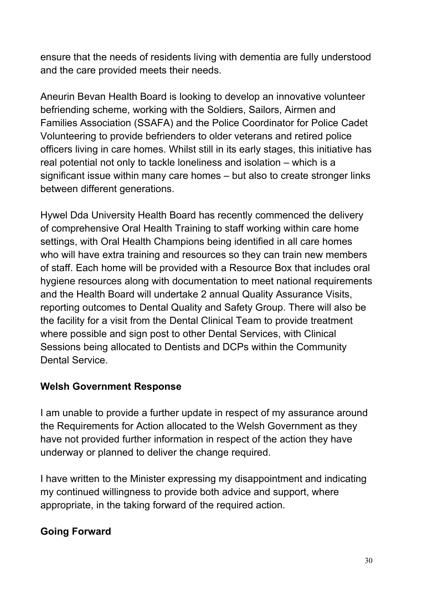ensure that the needs of residents living with dementia are fully understood and the care provided meets their needs.

Aneurin Bevan Health Board is looking to develop an innovative volunteer befriending scheme, working with the Soldiers, Sailors, Airmen and Families Association (SSAFA) and the Police Coordinator for Police Cadet Volunteering to provide befrienders to older veterans and retired police officers living in care homes. Whilst still in its early stages, this initiative has real potential not only to tackle loneliness and isolation – which is a significant issue within many care homes – but also to create stronger links between different generations.

Hywel Dda University Health Board has recently commenced the delivery of comprehensive Oral Health Training to staff working within care home settings, with Oral Health Champions being identified in all care homes who will have extra training and resources so they can train new members of staff. Each home will be provided with a Resource Box that includes oral hygiene resources along with documentation to meet national requirements and the Health Board will undertake 2 annual Quality Assurance Visits, reporting outcomes to Dental Quality and Safety Group. There will also be the facility for a visit from the Dental Clinical Team to provide treatment where possible and sign post to other Dental Services, with Clinical Sessions being allocated to Dentists and DCPs within the Community Dental Service.

#### **Welsh Government Response**

I am unable to provide a further update in respect of my assurance around the Requirements for Action allocated to the Welsh Government as they have not provided further information in respect of the action they have underway or planned to deliver the change required.

I have written to the Minister expressing my disappointment and indicating my continued willingness to provide both advice and support, where appropriate, in the taking forward of the required action.

# **Going Forward**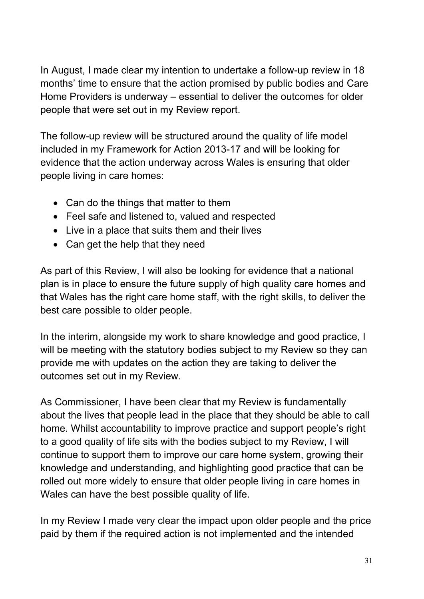In August, I made clear my intention to undertake a follow-up review in 18 months' time to ensure that the action promised by public bodies and Care Home Providers is underway – essential to deliver the outcomes for older people that were set out in my Review report.

The follow-up review will be structured around the quality of life model included in my Framework for Action 2013-17 and will be looking for evidence that the action underway across Wales is ensuring that older people living in care homes:

- Can do the things that matter to them
- Feel safe and listened to, valued and respected
- Live in a place that suits them and their lives
- Can get the help that they need

As part of this Review, I will also be looking for evidence that a national plan is in place to ensure the future supply of high quality care homes and that Wales has the right care home staff, with the right skills, to deliver the best care possible to older people.

In the interim, alongside my work to share knowledge and good practice, I will be meeting with the statutory bodies subject to my Review so they can provide me with updates on the action they are taking to deliver the outcomes set out in my Review.

As Commissioner, I have been clear that my Review is fundamentally about the lives that people lead in the place that they should be able to call home. Whilst accountability to improve practice and support people's right to a good quality of life sits with the bodies subject to my Review, I will continue to support them to improve our care home system, growing their knowledge and understanding, and highlighting good practice that can be rolled out more widely to ensure that older people living in care homes in Wales can have the best possible quality of life.

In my Review I made very clear the impact upon older people and the price paid by them if the required action is not implemented and the intended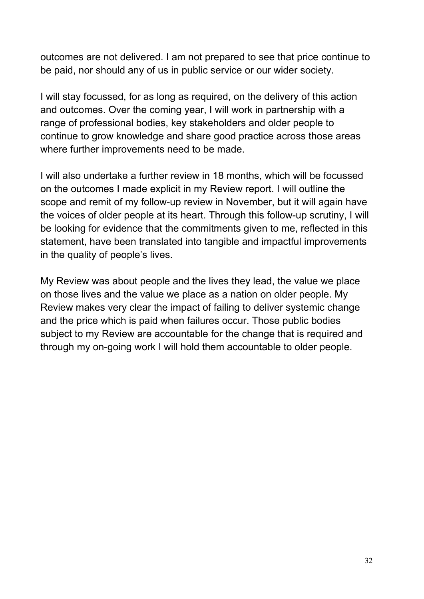outcomes are not delivered. I am not prepared to see that price continue to be paid, nor should any of us in public service or our wider society.

I will stay focussed, for as long as required, on the delivery of this action and outcomes. Over the coming year, I will work in partnership with a range of professional bodies, key stakeholders and older people to continue to grow knowledge and share good practice across those areas where further improvements need to be made.

I will also undertake a further review in 18 months, which will be focussed on the outcomes I made explicit in my Review report. I will outline the scope and remit of my follow-up review in November, but it will again have the voices of older people at its heart. Through this follow-up scrutiny, I will be looking for evidence that the commitments given to me, reflected in this statement, have been translated into tangible and impactful improvements in the quality of people's lives.

My Review was about people and the lives they lead, the value we place on those lives and the value we place as a nation on older people. My Review makes very clear the impact of failing to deliver systemic change and the price which is paid when failures occur. Those public bodies subject to my Review are accountable for the change that is required and through my on-going work I will hold them accountable to older people.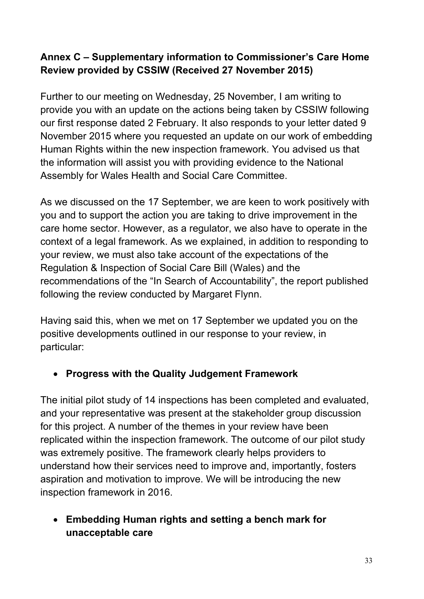# **Annex C – Supplementary information to Commissioner's Care Home Review provided by CSSIW (Received 27 November 2015)**

Further to our meeting on Wednesday, 25 November, I am writing to provide you with an update on the actions being taken by CSSIW following our first response dated 2 February. It also responds to your letter dated 9 November 2015 where you requested an update on our work of embedding Human Rights within the new inspection framework. You advised us that the information will assist you with providing evidence to the National Assembly for Wales Health and Social Care Committee.

As we discussed on the 17 September, we are keen to work positively with you and to support the action you are taking to drive improvement in the care home sector. However, as a regulator, we also have to operate in the context of a legal framework. As we explained, in addition to responding to your review, we must also take account of the expectations of the Regulation & Inspection of Social Care Bill (Wales) and the recommendations of the "In Search of Accountability", the report published following the review conducted by Margaret Flynn.

Having said this, when we met on 17 September we updated you on the positive developments outlined in our response to your review, in particular:

# **Progress with the Quality Judgement Framework**

The initial pilot study of 14 inspections has been completed and evaluated, and your representative was present at the stakeholder group discussion for this project. A number of the themes in your review have been replicated within the inspection framework. The outcome of our pilot study was extremely positive. The framework clearly helps providers to understand how their services need to improve and, importantly, fosters aspiration and motivation to improve. We will be introducing the new inspection framework in 2016.

 **Embedding Human rights and setting a bench mark for unacceptable care**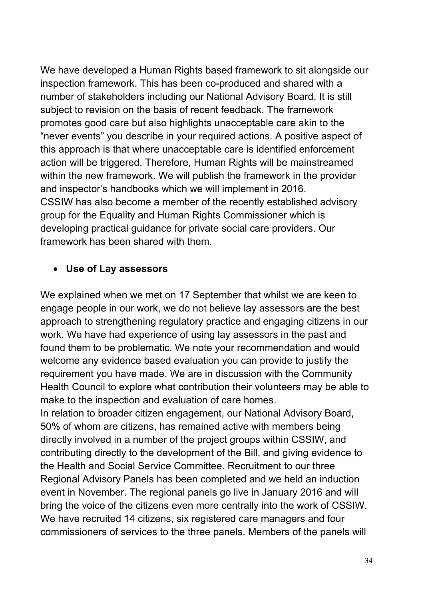We have developed a Human Rights based framework to sit alongside our inspection framework. This has been co-produced and shared with a number of stakeholders including our National Advisory Board. It is still subject to revision on the basis of recent feedback. The framework promotes good care but also highlights unacceptable care akin to the "never events" you describe in your required actions. A positive aspect of this approach is that where unacceptable care is identified enforcement action will be triggered. Therefore, Human Rights will be mainstreamed within the new framework. We will publish the framework in the provider and inspector's handbooks which we will implement in 2016. CSSIW has also become a member of the recently established advisory group for the Equality and Human Rights Commissioner which is developing practical guidance for private social care providers. Our framework has been shared with them.

#### **Use of Lay assessors**

We explained when we met on 17 September that whilst we are keen to engage people in our work, we do not believe lay assessors are the best approach to strengthening regulatory practice and engaging citizens in our work. We have had experience of using lay assessors in the past and found them to be problematic. We note your recommendation and would welcome any evidence based evaluation you can provide to justify the requirement you have made. We are in discussion with the Community Health Council to explore what contribution their volunteers may be able to make to the inspection and evaluation of care homes.

In relation to broader citizen engagement, our National Advisory Board, 50% of whom are citizens, has remained active with members being directly involved in a number of the project groups within CSSIW, and contributing directly to the development of the Bill, and giving evidence to the Health and Social Service Committee. Recruitment to our three Regional Advisory Panels has been completed and we held an induction event in November. The regional panels go live in January 2016 and will bring the voice of the citizens even more centrally into the work of CSSIW. We have recruited 14 citizens, six registered care managers and four commissioners of services to the three panels. Members of the panels will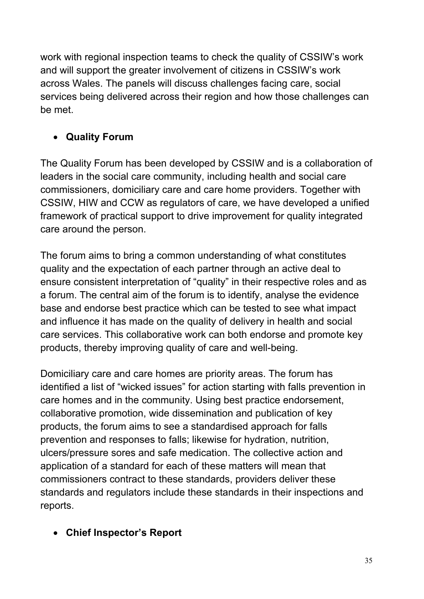work with regional inspection teams to check the quality of CSSIW's work and will support the greater involvement of citizens in CSSIW's work across Wales. The panels will discuss challenges facing care, social services being delivered across their region and how those challenges can be met.

# **Quality Forum**

The Quality Forum has been developed by CSSIW and is a collaboration of leaders in the social care community, including health and social care commissioners, domiciliary care and care home providers. Together with CSSIW, HIW and CCW as regulators of care, we have developed a unified framework of practical support to drive improvement for quality integrated care around the person.

The forum aims to bring a common understanding of what constitutes quality and the expectation of each partner through an active deal to ensure consistent interpretation of "quality" in their respective roles and as a forum. The central aim of the forum is to identify, analyse the evidence base and endorse best practice which can be tested to see what impact and influence it has made on the quality of delivery in health and social care services. This collaborative work can both endorse and promote key products, thereby improving quality of care and well-being.

Domiciliary care and care homes are priority areas. The forum has identified a list of "wicked issues" for action starting with falls prevention in care homes and in the community. Using best practice endorsement, collaborative promotion, wide dissemination and publication of key products, the forum aims to see a standardised approach for falls prevention and responses to falls; likewise for hydration, nutrition, ulcers/pressure sores and safe medication. The collective action and application of a standard for each of these matters will mean that commissioners contract to these standards, providers deliver these standards and regulators include these standards in their inspections and reports.

# **Chief Inspector's Report**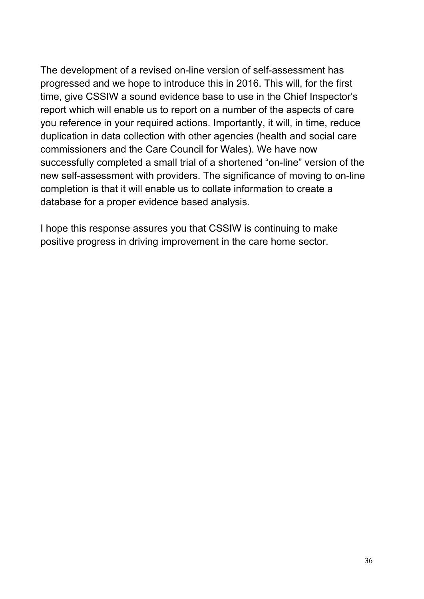The development of a revised on-line version of self-assessment has progressed and we hope to introduce this in 2016. This will, for the first time, give CSSIW a sound evidence base to use in the Chief Inspector's report which will enable us to report on a number of the aspects of care you reference in your required actions. Importantly, it will, in time, reduce duplication in data collection with other agencies (health and social care commissioners and the Care Council for Wales). We have now successfully completed a small trial of a shortened "on-line" version of the new self-assessment with providers. The significance of moving to on-line completion is that it will enable us to collate information to create a database for a proper evidence based analysis.

I hope this response assures you that CSSIW is continuing to make positive progress in driving improvement in the care home sector.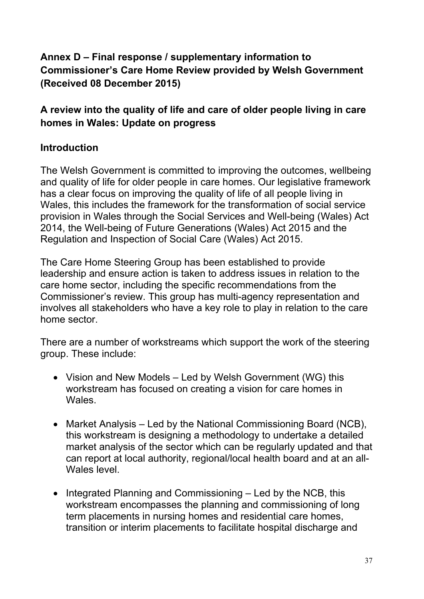# **Annex D – Final response / supplementary information to Commissioner's Care Home Review provided by Welsh Government (Received 08 December 2015)**

# **A review into the quality of life and care of older people living in care homes in Wales: Update on progress**

# **Introduction**

The Welsh Government is committed to improving the outcomes, wellbeing and quality of life for older people in care homes. Our legislative framework has a clear focus on improving the quality of life of all people living in Wales, this includes the framework for the transformation of social service provision in Wales through the Social Services and Well-being (Wales) Act 2014, the Well-being of Future Generations (Wales) Act 2015 and the Regulation and Inspection of Social Care (Wales) Act 2015.

The Care Home Steering Group has been established to provide leadership and ensure action is taken to address issues in relation to the care home sector, including the specific recommendations from the Commissioner's review. This group has multi-agency representation and involves all stakeholders who have a key role to play in relation to the care home sector.

There are a number of workstreams which support the work of the steering group. These include:

- Vision and New Models Led by Welsh Government (WG) this workstream has focused on creating a vision for care homes in Wales.
- Market Analysis Led by the National Commissioning Board (NCB), this workstream is designing a methodology to undertake a detailed market analysis of the sector which can be regularly updated and that can report at local authority, regional/local health board and at an all-Wales level.
- $\bullet$  Integrated Planning and Commissioning  $-$  Led by the NCB, this workstream encompasses the planning and commissioning of long term placements in nursing homes and residential care homes, transition or interim placements to facilitate hospital discharge and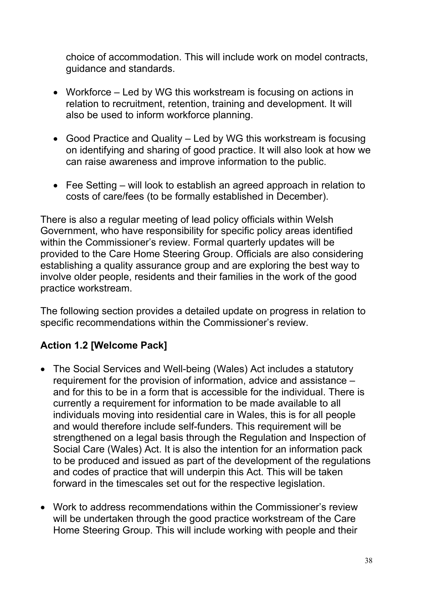choice of accommodation. This will include work on model contracts, guidance and standards.

- Workforce Led by WG this workstream is focusing on actions in relation to recruitment, retention, training and development. It will also be used to inform workforce planning.
- Good Practice and Quality Led by WG this workstream is focusing on identifying and sharing of good practice. It will also look at how we can raise awareness and improve information to the public.
- Fee Setting will look to establish an agreed approach in relation to costs of care/fees (to be formally established in December).

There is also a regular meeting of lead policy officials within Welsh Government, who have responsibility for specific policy areas identified within the Commissioner's review. Formal quarterly updates will be provided to the Care Home Steering Group. Officials are also considering establishing a quality assurance group and are exploring the best way to involve older people, residents and their families in the work of the good practice workstream.

The following section provides a detailed update on progress in relation to specific recommendations within the Commissioner's review.

# **Action 1.2 [Welcome Pack]**

- The Social Services and Well-being (Wales) Act includes a statutory requirement for the provision of information, advice and assistance – and for this to be in a form that is accessible for the individual. There is currently a requirement for information to be made available to all individuals moving into residential care in Wales, this is for all people and would therefore include self-funders. This requirement will be strengthened on a legal basis through the Regulation and Inspection of Social Care (Wales) Act. It is also the intention for an information pack to be produced and issued as part of the development of the regulations and codes of practice that will underpin this Act. This will be taken forward in the timescales set out for the respective legislation.
- Work to address recommendations within the Commissioner's review will be undertaken through the good practice workstream of the Care Home Steering Group. This will include working with people and their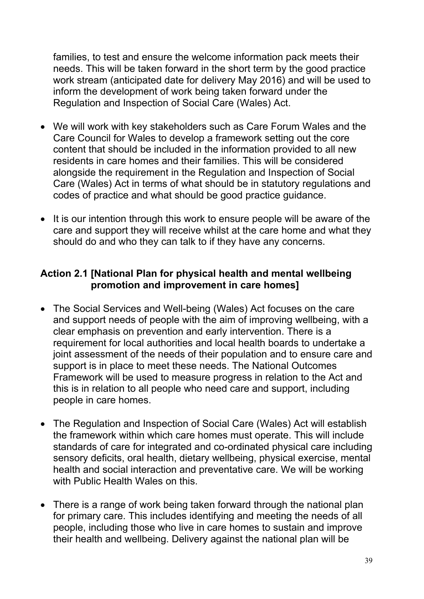families, to test and ensure the welcome information pack meets their needs. This will be taken forward in the short term by the good practice work stream (anticipated date for delivery May 2016) and will be used to inform the development of work being taken forward under the Regulation and Inspection of Social Care (Wales) Act.

- We will work with key stakeholders such as Care Forum Wales and the Care Council for Wales to develop a framework setting out the core content that should be included in the information provided to all new residents in care homes and their families. This will be considered alongside the requirement in the Regulation and Inspection of Social Care (Wales) Act in terms of what should be in statutory regulations and codes of practice and what should be good practice guidance.
- It is our intention through this work to ensure people will be aware of the care and support they will receive whilst at the care home and what they should do and who they can talk to if they have any concerns.

#### **Action 2.1 [National Plan for physical health and mental wellbeing promotion and improvement in care homes]**

- The Social Services and Well-being (Wales) Act focuses on the care and support needs of people with the aim of improving wellbeing, with a clear emphasis on prevention and early intervention. There is a requirement for local authorities and local health boards to undertake a joint assessment of the needs of their population and to ensure care and support is in place to meet these needs. The National Outcomes Framework will be used to measure progress in relation to the Act and this is in relation to all people who need care and support, including people in care homes.
- The Regulation and Inspection of Social Care (Wales) Act will establish the framework within which care homes must operate. This will include standards of care for integrated and co-ordinated physical care including sensory deficits, oral health, dietary wellbeing, physical exercise, mental health and social interaction and preventative care. We will be working with Public Health Wales on this.
- There is a range of work being taken forward through the national plan for primary care. This includes identifying and meeting the needs of all people, including those who live in care homes to sustain and improve their health and wellbeing. Delivery against the national plan will be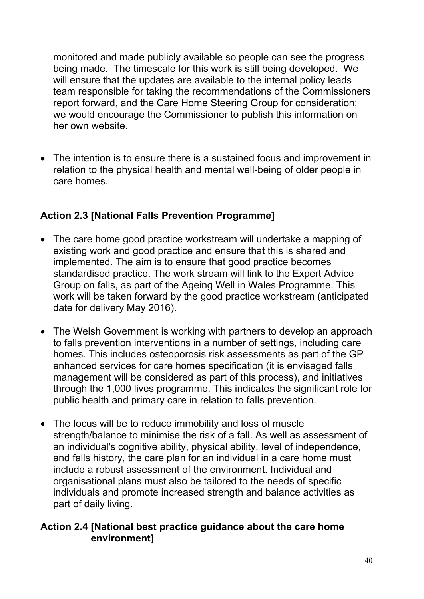monitored and made publicly available so people can see the progress being made. The timescale for this work is still being developed. We will ensure that the updates are available to the internal policy leads team responsible for taking the recommendations of the Commissioners report forward, and the Care Home Steering Group for consideration; we would encourage the Commissioner to publish this information on her own website.

 The intention is to ensure there is a sustained focus and improvement in relation to the physical health and mental well-being of older people in care homes.

# **Action 2.3 [National Falls Prevention Programme]**

- The care home good practice workstream will undertake a mapping of existing work and good practice and ensure that this is shared and implemented. The aim is to ensure that good practice becomes standardised practice. The work stream will link to the Expert Advice Group on falls, as part of the Ageing Well in Wales Programme. This work will be taken forward by the good practice workstream (anticipated date for delivery May 2016).
- The Welsh Government is working with partners to develop an approach to falls prevention interventions in a number of settings, including care homes. This includes osteoporosis risk assessments as part of the GP enhanced services for care homes specification (it is envisaged falls management will be considered as part of this process), and initiatives through the 1,000 lives programme. This indicates the significant role for public health and primary care in relation to falls prevention.
- The focus will be to reduce immobility and loss of muscle strength/balance to minimise the risk of a fall. As well as assessment of an individual's cognitive ability, physical ability, level of independence, and falls history, the care plan for an individual in a care home must include a robust assessment of the environment. Individual and organisational plans must also be tailored to the needs of specific individuals and promote increased strength and balance activities as part of daily living.

#### **Action 2.4 [National best practice guidance about the care home environment]**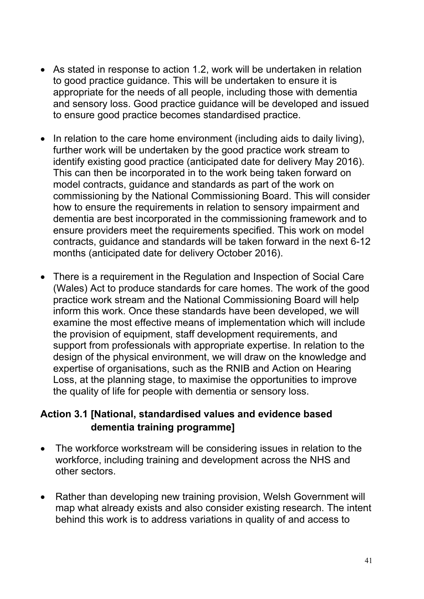- As stated in response to action 1.2, work will be undertaken in relation to good practice guidance. This will be undertaken to ensure it is appropriate for the needs of all people, including those with dementia and sensory loss. Good practice guidance will be developed and issued to ensure good practice becomes standardised practice.
- In relation to the care home environment (including aids to daily living), further work will be undertaken by the good practice work stream to identify existing good practice (anticipated date for delivery May 2016). This can then be incorporated in to the work being taken forward on model contracts, guidance and standards as part of the work on commissioning by the National Commissioning Board. This will consider how to ensure the requirements in relation to sensory impairment and dementia are best incorporated in the commissioning framework and to ensure providers meet the requirements specified. This work on model contracts, guidance and standards will be taken forward in the next 6-12 months (anticipated date for delivery October 2016).
- There is a requirement in the Regulation and Inspection of Social Care (Wales) Act to produce standards for care homes. The work of the good practice work stream and the National Commissioning Board will help inform this work. Once these standards have been developed, we will examine the most effective means of implementation which will include the provision of equipment, staff development requirements, and support from professionals with appropriate expertise. In relation to the design of the physical environment, we will draw on the knowledge and expertise of organisations, such as the RNIB and Action on Hearing Loss, at the planning stage, to maximise the opportunities to improve the quality of life for people with dementia or sensory loss.

#### **Action 3.1 [National, standardised values and evidence based dementia training programme]**

- The workforce workstream will be considering issues in relation to the workforce, including training and development across the NHS and other sectors.
- Rather than developing new training provision, Welsh Government will map what already exists and also consider existing research. The intent behind this work is to address variations in quality of and access to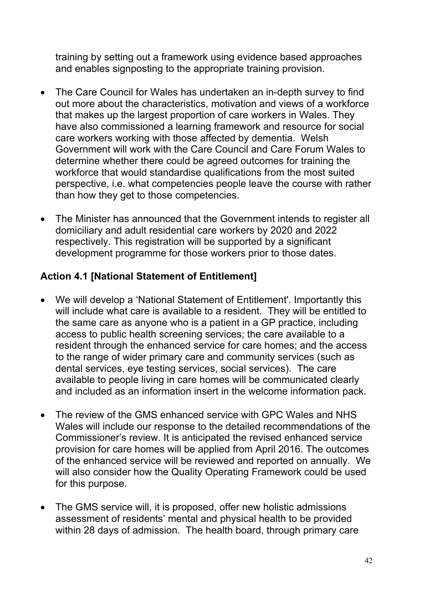training by setting out a framework using evidence based approaches and enables signposting to the appropriate training provision.

- The Care Council for Wales has undertaken an in-depth survey to find out more about the characteristics, motivation and views of a workforce that makes up the largest proportion of care workers in Wales. They have also commissioned a learning framework and resource for social care workers working with those affected by dementia. Welsh Government will work with the Care Council and Care Forum Wales to determine whether there could be agreed outcomes for training the workforce that would standardise qualifications from the most suited perspective, i.e. what competencies people leave the course with rather than how they get to those competencies.
- The Minister has announced that the Government intends to register all domiciliary and adult residential care workers by 2020 and 2022 respectively. This registration will be supported by a significant development programme for those workers prior to those dates.

#### **Action 4.1 [National Statement of Entitlement]**

- We will develop a 'National Statement of Entitlement'. Importantly this will include what care is available to a resident. They will be entitled to the same care as anyone who is a patient in a GP practice, including access to public health screening services; the care available to a resident through the enhanced service for care homes; and the access to the range of wider primary care and community services (such as dental services, eye testing services, social services). The care available to people living in care homes will be communicated clearly and included as an information insert in the welcome information pack.
- The review of the GMS enhanced service with GPC Wales and NHS Wales will include our response to the detailed recommendations of the Commissioner's review. It is anticipated the revised enhanced service provision for care homes will be applied from April 2016. The outcomes of the enhanced service will be reviewed and reported on annually. We will also consider how the Quality Operating Framework could be used for this purpose.
- The GMS service will, it is proposed, offer new holistic admissions assessment of residents' mental and physical health to be provided within 28 days of admission. The health board, through primary care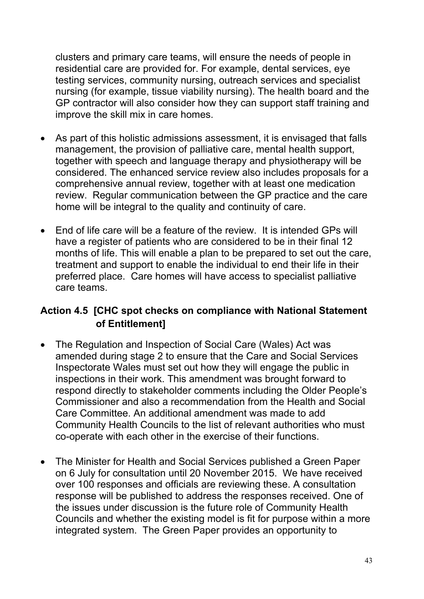clusters and primary care teams, will ensure the needs of people in residential care are provided for. For example, dental services, eye testing services, community nursing, outreach services and specialist nursing (for example, tissue viability nursing). The health board and the GP contractor will also consider how they can support staff training and improve the skill mix in care homes.

- As part of this holistic admissions assessment, it is envisaged that falls management, the provision of palliative care, mental health support, together with speech and language therapy and physiotherapy will be considered. The enhanced service review also includes proposals for a comprehensive annual review, together with at least one medication review. Regular communication between the GP practice and the care home will be integral to the quality and continuity of care.
- Fnd of life care will be a feature of the review. It is intended GPs will have a register of patients who are considered to be in their final 12 months of life. This will enable a plan to be prepared to set out the care, treatment and support to enable the individual to end their life in their preferred place. Care homes will have access to specialist palliative care teams.

#### **Action 4.5 [CHC spot checks on compliance with National Statement of Entitlement]**

- The Regulation and Inspection of Social Care (Wales) Act was amended during stage 2 to ensure that the Care and Social Services Inspectorate Wales must set out how they will engage the public in inspections in their work. This amendment was brought forward to respond directly to stakeholder comments including the Older People's Commissioner and also a recommendation from the Health and Social Care Committee. An additional amendment was made to add Community Health Councils to the list of relevant authorities who must co-operate with each other in the exercise of their functions.
- The Minister for Health and Social Services published a Green Paper on 6 July for consultation until 20 November 2015. We have received over 100 responses and officials are reviewing these. A consultation response will be published to address the responses received. One of the issues under discussion is the future role of Community Health Councils and whether the existing model is fit for purpose within a more integrated system. The Green Paper provides an opportunity to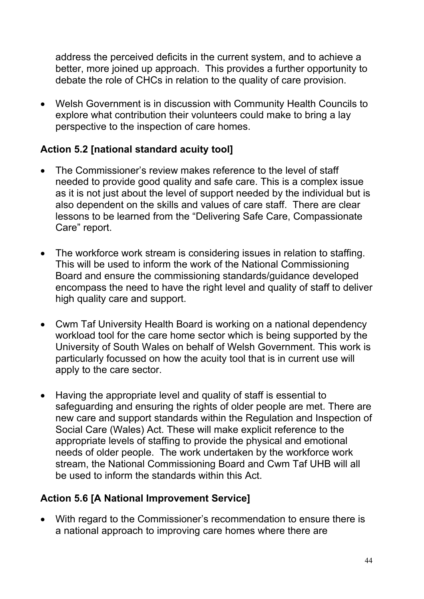address the perceived deficits in the current system, and to achieve a better, more joined up approach. This provides a further opportunity to debate the role of CHCs in relation to the quality of care provision.

 Welsh Government is in discussion with Community Health Councils to explore what contribution their volunteers could make to bring a lay perspective to the inspection of care homes.

# **Action 5.2 [national standard acuity tool]**

- The Commissioner's review makes reference to the level of staff needed to provide good quality and safe care. This is a complex issue as it is not just about the level of support needed by the individual but is also dependent on the skills and values of care staff. There are clear lessons to be learned from the "Delivering Safe Care, Compassionate Care" report.
- The workforce work stream is considering issues in relation to staffing. This will be used to inform the work of the National Commissioning Board and ensure the commissioning standards/guidance developed encompass the need to have the right level and quality of staff to deliver high quality care and support.
- Cwm Taf University Health Board is working on a national dependency workload tool for the care home sector which is being supported by the University of South Wales on behalf of Welsh Government. This work is particularly focussed on how the acuity tool that is in current use will apply to the care sector.
- Having the appropriate level and quality of staff is essential to safeguarding and ensuring the rights of older people are met. There are new care and support standards within the Regulation and Inspection of Social Care (Wales) Act. These will make explicit reference to the appropriate levels of staffing to provide the physical and emotional needs of older people.The work undertaken by the workforce work stream, the National Commissioning Board and Cwm Taf UHB will all be used to inform the standards within this Act.

# **Action 5.6 [A National Improvement Service]**

 With regard to the Commissioner's recommendation to ensure there is a national approach to improving care homes where there are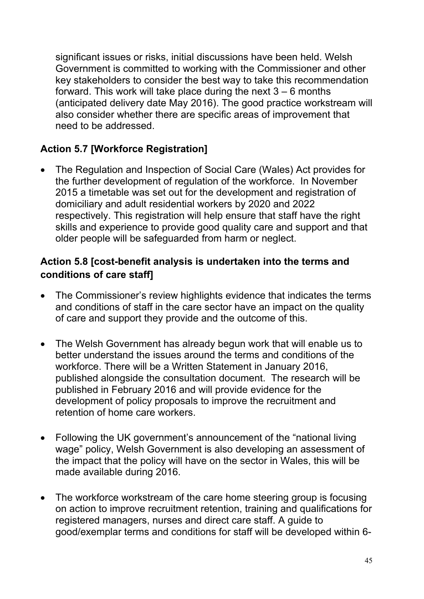significant issues or risks, initial discussions have been held. Welsh Government is committed to working with the Commissioner and other key stakeholders to consider the best way to take this recommendation forward. This work will take place during the next  $3 - 6$  months (anticipated delivery date May 2016). The good practice workstream will also consider whether there are specific areas of improvement that need to be addressed.

# **Action 5.7 [Workforce Registration]**

 The Regulation and Inspection of Social Care (Wales) Act provides for the further development of regulation of the workforce. In November 2015 a timetable was set out for the development and registration of domiciliary and adult residential workers by 2020 and 2022 respectively. This registration will help ensure that staff have the right skills and experience to provide good quality care and support and that older people will be safeguarded from harm or neglect.

### **Action 5.8 [cost-benefit analysis is undertaken into the terms and conditions of care staff]**

- The Commissioner's review highlights evidence that indicates the terms and conditions of staff in the care sector have an impact on the quality of care and support they provide and the outcome of this.
- The Welsh Government has already begun work that will enable us to better understand the issues around the terms and conditions of the workforce. There will be a Written Statement in January 2016, published alongside the consultation document. The research will be published in February 2016 and will provide evidence for the development of policy proposals to improve the recruitment and retention of home care workers.
- Following the UK government's announcement of the "national living" wage" policy, Welsh Government is also developing an assessment of the impact that the policy will have on the sector in Wales, this will be made available during 2016.
- The workforce workstream of the care home steering group is focusing on action to improve recruitment retention, training and qualifications for registered managers, nurses and direct care staff. A guide to good/exemplar terms and conditions for staff will be developed within 6-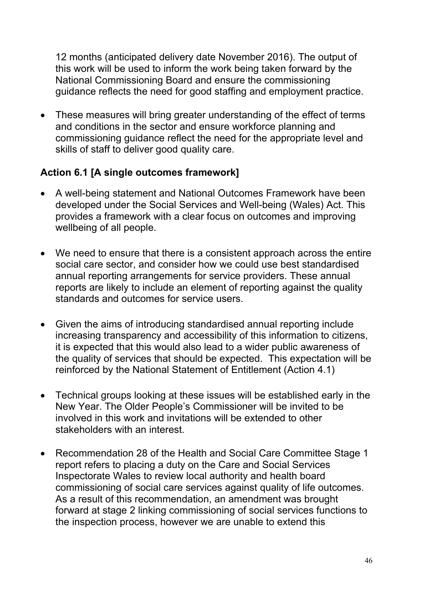12 months (anticipated delivery date November 2016). The output of this work will be used to inform the work being taken forward by the National Commissioning Board and ensure the commissioning guidance reflects the need for good staffing and employment practice.

• These measures will bring greater understanding of the effect of terms and conditions in the sector and ensure workforce planning and commissioning guidance reflect the need for the appropriate level and skills of staff to deliver good quality care.

#### **Action 6.1 [A single outcomes framework]**

- A well-being statement and National Outcomes Framework have been developed under the Social Services and Well-being (Wales) Act. This provides a framework with a clear focus on outcomes and improving wellbeing of all people.
- We need to ensure that there is a consistent approach across the entire social care sector, and consider how we could use best standardised annual reporting arrangements for service providers. These annual reports are likely to include an element of reporting against the quality standards and outcomes for service users.
- Given the aims of introducing standardised annual reporting include increasing transparency and accessibility of this information to citizens, it is expected that this would also lead to a wider public awareness of the quality of services that should be expected. This expectation will be reinforced by the National Statement of Entitlement (Action 4.1)
- Technical groups looking at these issues will be established early in the New Year. The Older People's Commissioner will be invited to be involved in this work and invitations will be extended to other stakeholders with an interest.
- Recommendation 28 of the Health and Social Care Committee Stage 1 report refers to placing a duty on the Care and Social Services Inspectorate Wales to review local authority and health board commissioning of social care services against quality of life outcomes. As a result of this recommendation, an amendment was brought forward at stage 2 linking commissioning of social services functions to the inspection process, however we are unable to extend this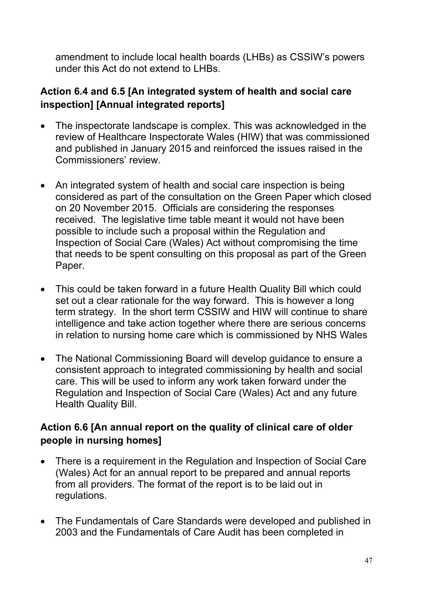amendment to include local health boards (LHBs) as CSSIW's powers under this Act do not extend to LHBs.

# **Action 6.4 and 6.5 [An integrated system of health and social care inspection] [Annual integrated reports]**

- The inspectorate landscape is complex. This was acknowledged in the review of Healthcare Inspectorate Wales (HIW) that was commissioned and published in January 2015 and reinforced the issues raised in the Commissioners' review.
- An integrated system of health and social care inspection is being considered as part of the consultation on the Green Paper which closed on 20 November 2015. Officials are considering the responses received. The legislative time table meant it would not have been possible to include such a proposal within the Regulation and Inspection of Social Care (Wales) Act without compromising the time that needs to be spent consulting on this proposal as part of the Green Paper.
- This could be taken forward in a future Health Quality Bill which could set out a clear rationale for the way forward. This is however a long term strategy. In the short term CSSIW and HIW will continue to share intelligence and take action together where there are serious concerns in relation to nursing home care which is commissioned by NHS Wales
- The National Commissioning Board will develop guidance to ensure a consistent approach to integrated commissioning by health and social care. This will be used to inform any work taken forward under the Regulation and Inspection of Social Care (Wales) Act and any future Health Quality Bill.

# **Action 6.6 [An annual report on the quality of clinical care of older people in nursing homes]**

- There is a requirement in the Regulation and Inspection of Social Care (Wales) Act for an annual report to be prepared and annual reports from all providers. The format of the report is to be laid out in regulations.
- The Fundamentals of Care Standards were developed and published in 2003 and the Fundamentals of Care Audit has been completed in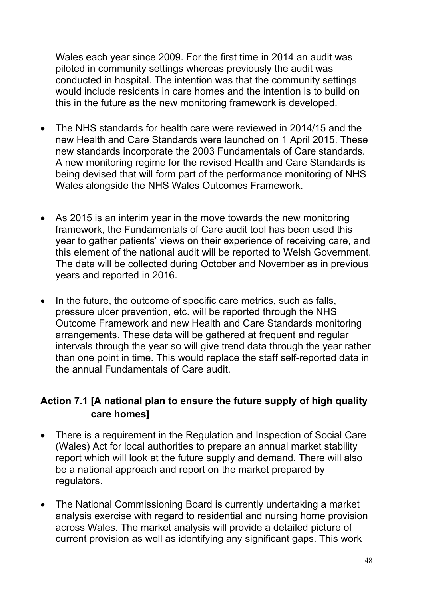Wales each year since 2009. For the first time in 2014 an audit was piloted in community settings whereas previously the audit was conducted in hospital. The intention was that the community settings would include residents in care homes and the intention is to build on this in the future as the new monitoring framework is developed.

- The NHS standards for health care were reviewed in 2014/15 and the new Health and Care Standards were launched on 1 April 2015. These new standards incorporate the 2003 Fundamentals of Care standards. A new monitoring regime for the revised Health and Care Standards is being devised that will form part of the performance monitoring of NHS Wales alongside the NHS Wales Outcomes Framework.
- As 2015 is an interim year in the move towards the new monitoring framework, the Fundamentals of Care audit tool has been used this year to gather patients' views on their experience of receiving care, and this element of the national audit will be reported to Welsh Government. The data will be collected during October and November as in previous years and reported in 2016.
- In the future, the outcome of specific care metrics, such as falls, pressure ulcer prevention, etc. will be reported through the NHS Outcome Framework and new Health and Care Standards monitoring arrangements. These data will be gathered at frequent and regular intervals through the year so will give trend data through the year rather than one point in time. This would replace the staff self-reported data in the annual Fundamentals of Care audit.

# **Action 7.1 [A national plan to ensure the future supply of high quality care homes]**

- There is a requirement in the Regulation and Inspection of Social Care (Wales) Act for local authorities to prepare an annual market stability report which will look at the future supply and demand. There will also be a national approach and report on the market prepared by regulators.
- The National Commissioning Board is currently undertaking a market analysis exercise with regard to residential and nursing home provision across Wales. The market analysis will provide a detailed picture of current provision as well as identifying any significant gaps. This work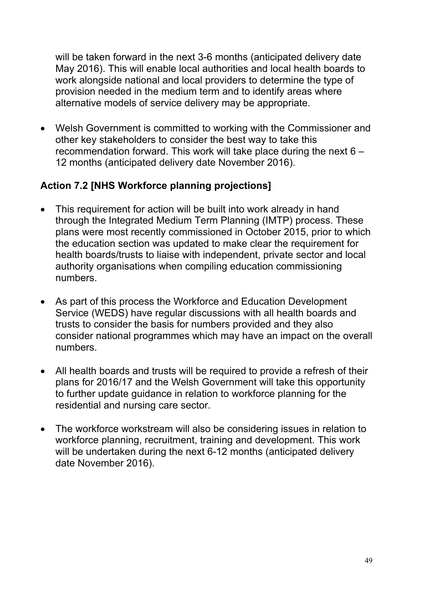will be taken forward in the next 3-6 months (anticipated delivery date May 2016). This will enable local authorities and local health boards to work alongside national and local providers to determine the type of provision needed in the medium term and to identify areas where alternative models of service delivery may be appropriate.

 Welsh Government is committed to working with the Commissioner and other key stakeholders to consider the best way to take this recommendation forward. This work will take place during the next 6 – 12 months (anticipated delivery date November 2016).

#### **Action 7.2 [NHS Workforce planning projections]**

- This requirement for action will be built into work already in hand through the Integrated Medium Term Planning (IMTP) process. These plans were most recently commissioned in October 2015, prior to which the education section was updated to make clear the requirement for health boards/trusts to liaise with independent, private sector and local authority organisations when compiling education commissioning numbers.
- As part of this process the Workforce and Education Development Service (WEDS) have regular discussions with all health boards and trusts to consider the basis for numbers provided and they also consider national programmes which may have an impact on the overall numbers.
- All health boards and trusts will be required to provide a refresh of their plans for 2016/17 and the Welsh Government will take this opportunity to further update guidance in relation to workforce planning for the residential and nursing care sector.
- The workforce workstream will also be considering issues in relation to workforce planning, recruitment, training and development. This work will be undertaken during the next 6-12 months (anticipated delivery date November 2016).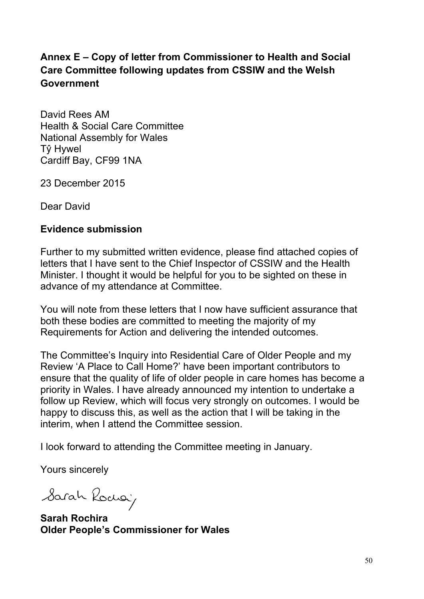# **Annex E – Copy of letter from Commissioner to Health and Social Care Committee following updates from CSSIW and the Welsh Government**

David Rees AM Health & Social Care Committee National Assembly for Wales Tŷ Hywel Cardiff Bay, CF99 1NA

23 December 2015

Dear David

#### **Evidence submission**

Further to my submitted written evidence, please find attached copies of letters that I have sent to the Chief Inspector of CSSIW and the Health Minister. I thought it would be helpful for you to be sighted on these in advance of my attendance at Committee.

You will note from these letters that I now have sufficient assurance that both these bodies are committed to meeting the majority of my Requirements for Action and delivering the intended outcomes.

The Committee's Inquiry into Residential Care of Older People and my Review 'A Place to Call Home?' have been important contributors to ensure that the quality of life of older people in care homes has become a priority in Wales. I have already announced my intention to undertake a follow up Review, which will focus very strongly on outcomes. I would be happy to discuss this, as well as the action that I will be taking in the interim, when I attend the Committee session.

I look forward to attending the Committee meeting in January.

Yours sincerely

Sarah Rochai

**Sarah Rochira Older People's Commissioner for Wales**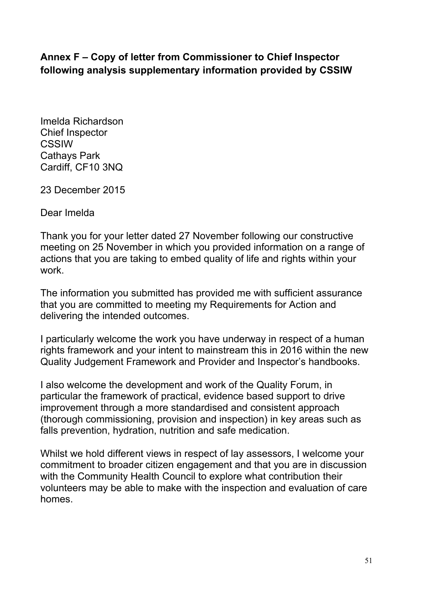#### **Annex F – Copy of letter from Commissioner to Chief Inspector following analysis supplementary information provided by CSSIW**

Imelda Richardson Chief Inspector CSSIW Cathays Park Cardiff, CF10 3NQ

23 December 2015

Dear Imelda

Thank you for your letter dated 27 November following our constructive meeting on 25 November in which you provided information on a range of actions that you are taking to embed quality of life and rights within your work.

The information you submitted has provided me with sufficient assurance that you are committed to meeting my Requirements for Action and delivering the intended outcomes.

I particularly welcome the work you have underway in respect of a human rights framework and your intent to mainstream this in 2016 within the new Quality Judgement Framework and Provider and Inspector's handbooks.

I also welcome the development and work of the Quality Forum, in particular the framework of practical, evidence based support to drive improvement through a more standardised and consistent approach (thorough commissioning, provision and inspection) in key areas such as falls prevention, hydration, nutrition and safe medication.

Whilst we hold different views in respect of lay assessors, I welcome your commitment to broader citizen engagement and that you are in discussion with the Community Health Council to explore what contribution their volunteers may be able to make with the inspection and evaluation of care homes.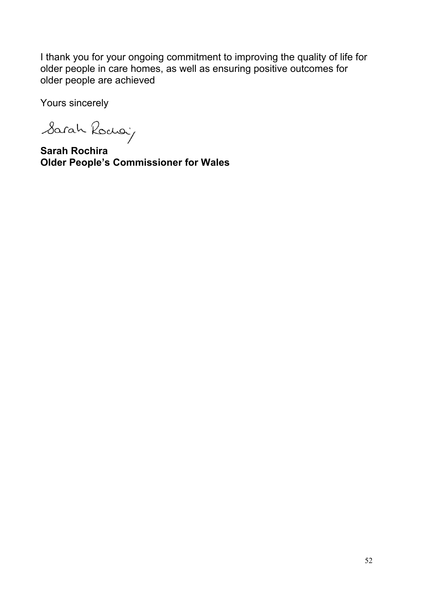I thank you for your ongoing commitment to improving the quality of life for older people in care homes, as well as ensuring positive outcomes for older people are achieved

Yours sincerely

Sarah Rodoù

**Sarah Rochira Older People's Commissioner for Wales**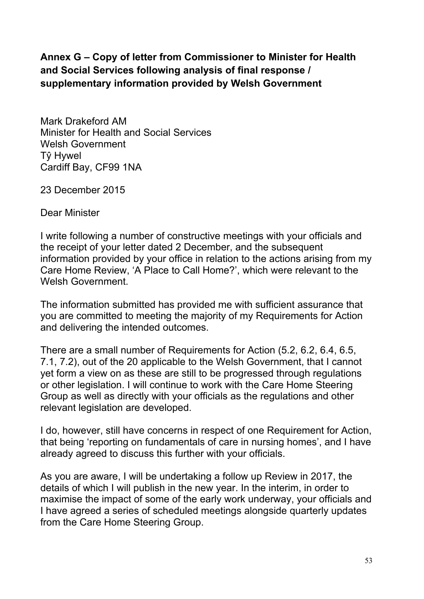# **Annex G – Copy of letter from Commissioner to Minister for Health and Social Services following analysis of final response / supplementary information provided by Welsh Government**

Mark Drakeford AM Minister for Health and Social Services Welsh Government Tŷ Hywel Cardiff Bay, CF99 1NA

23 December 2015

Dear Minister

I write following a number of constructive meetings with your officials and the receipt of your letter dated 2 December, and the subsequent information provided by your office in relation to the actions arising from my Care Home Review, 'A Place to Call Home?', which were relevant to the Welsh Government

The information submitted has provided me with sufficient assurance that you are committed to meeting the majority of my Requirements for Action and delivering the intended outcomes.

There are a small number of Requirements for Action (5.2, 6.2, 6.4, 6.5, 7.1, 7.2), out of the 20 applicable to the Welsh Government, that I cannot yet form a view on as these are still to be progressed through regulations or other legislation. I will continue to work with the Care Home Steering Group as well as directly with your officials as the regulations and other relevant legislation are developed.

I do, however, still have concerns in respect of one Requirement for Action, that being 'reporting on fundamentals of care in nursing homes', and I have already agreed to discuss this further with your officials.

As you are aware, I will be undertaking a follow up Review in 2017, the details of which I will publish in the new year. In the interim, in order to maximise the impact of some of the early work underway, your officials and I have agreed a series of scheduled meetings alongside quarterly updates from the Care Home Steering Group.